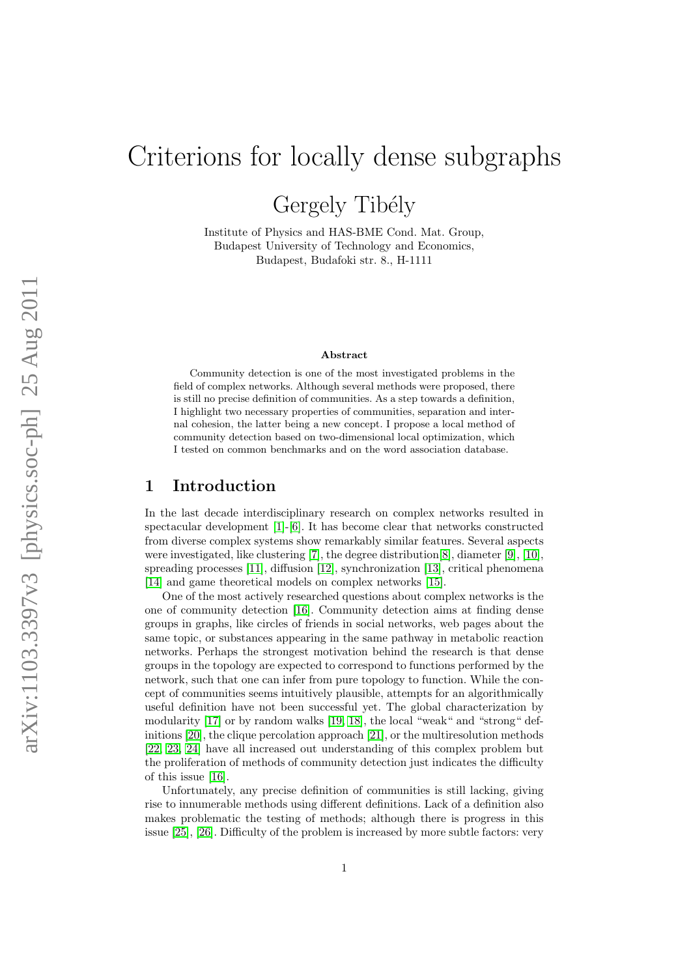# Criterions for locally dense subgraphs

Gergely Tibély

Institute of Physics and HAS-BME Cond. Mat. Group, Budapest University of Technology and Economics, Budapest, Budafoki str. 8., H-1111

#### Abstract

Community detection is one of the most investigated problems in the field of complex networks. Although several methods were proposed, there is still no precise definition of communities. As a step towards a definition, I highlight two necessary properties of communities, separation and internal cohesion, the latter being a new concept. I propose a local method of community detection based on two-dimensional local optimization, which I tested on common benchmarks and on the word association database.

## 1 Introduction

In the last decade interdisciplinary research on complex networks resulted in spectacular development [\[1\]](#page-25-0)-[\[6\]](#page-25-1). It has become clear that networks constructed from diverse complex systems show remarkably similar features. Several aspects were investigated, like clustering [\[7\]](#page-25-2), the degree distribution[\[8\]](#page-25-3), diameter [\[9\]](#page-25-4), [\[10\]](#page-25-5), spreading processes [\[11\]](#page-25-6), diffusion [\[12\]](#page-25-7), synchronization [\[13\]](#page-25-8), critical phenomena [\[14\]](#page-25-9) and game theoretical models on complex networks [\[15\]](#page-25-10).

One of the most actively researched questions about complex networks is the one of community detection [\[16\]](#page-26-0). Community detection aims at finding dense groups in graphs, like circles of friends in social networks, web pages about the same topic, or substances appearing in the same pathway in metabolic reaction networks. Perhaps the strongest motivation behind the research is that dense groups in the topology are expected to correspond to functions performed by the network, such that one can infer from pure topology to function. While the concept of communities seems intuitively plausible, attempts for an algorithmically useful definition have not been successful yet. The global characterization by modularity [\[17\]](#page-26-1) or by random walks [\[19,](#page-26-2) [18\]](#page-26-3), the local "weak" and "strong" definitions [\[20\]](#page-26-4), the clique percolation approach [\[21\]](#page-26-5), or the multiresolution methods [\[22,](#page-26-6) [23,](#page-26-7) [24\]](#page-26-8) have all increased out understanding of this complex problem but the proliferation of methods of community detection just indicates the difficulty of this issue [\[16\]](#page-26-0).

Unfortunately, any precise definition of communities is still lacking, giving rise to innumerable methods using different definitions. Lack of a definition also makes problematic the testing of methods; although there is progress in this issue [\[25\]](#page-26-9), [\[26\]](#page-26-10). Difficulty of the problem is increased by more subtle factors: very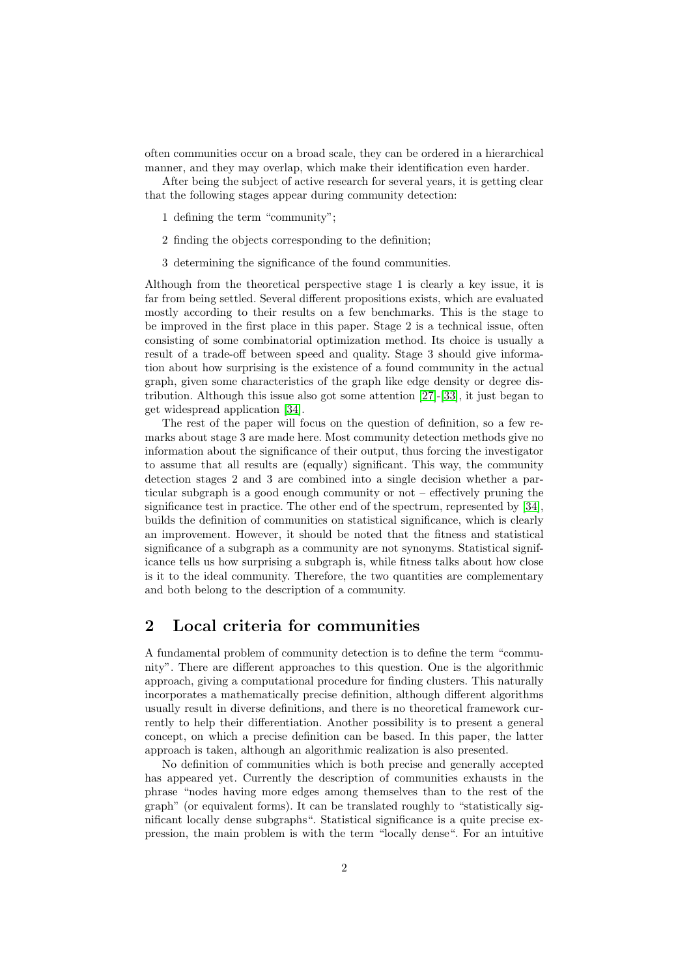often communities occur on a broad scale, they can be ordered in a hierarchical manner, and they may overlap, which make their identification even harder.

After being the subject of active research for several years, it is getting clear that the following stages appear during community detection:

- 1 defining the term "community";
- 2 finding the objects corresponding to the definition;
- 3 determining the significance of the found communities.

Although from the theoretical perspective stage 1 is clearly a key issue, it is far from being settled. Several different propositions exists, which are evaluated mostly according to their results on a few benchmarks. This is the stage to be improved in the first place in this paper. Stage 2 is a technical issue, often consisting of some combinatorial optimization method. Its choice is usually a result of a trade-off between speed and quality. Stage 3 should give information about how surprising is the existence of a found community in the actual graph, given some characteristics of the graph like edge density or degree distribution. Although this issue also got some attention [\[27\]](#page-26-11)-[\[33\]](#page-26-12), it just began to get widespread application [\[34\]](#page-26-13).

The rest of the paper will focus on the question of definition, so a few remarks about stage 3 are made here. Most community detection methods give no information about the significance of their output, thus forcing the investigator to assume that all results are (equally) significant. This way, the community detection stages 2 and 3 are combined into a single decision whether a particular subgraph is a good enough community or not – effectively pruning the significance test in practice. The other end of the spectrum, represented by [\[34\]](#page-26-13), builds the definition of communities on statistical significance, which is clearly an improvement. However, it should be noted that the fitness and statistical significance of a subgraph as a community are not synonyms. Statistical significance tells us how surprising a subgraph is, while fitness talks about how close is it to the ideal community. Therefore, the two quantities are complementary and both belong to the description of a community.

# <span id="page-1-0"></span>2 Local criteria for communities

A fundamental problem of community detection is to define the term "community". There are different approaches to this question. One is the algorithmic approach, giving a computational procedure for finding clusters. This naturally incorporates a mathematically precise definition, although different algorithms usually result in diverse definitions, and there is no theoretical framework currently to help their differentiation. Another possibility is to present a general concept, on which a precise definition can be based. In this paper, the latter approach is taken, although an algorithmic realization is also presented.

No definition of communities which is both precise and generally accepted has appeared yet. Currently the description of communities exhausts in the phrase "nodes having more edges among themselves than to the rest of the graph" (or equivalent forms). It can be translated roughly to "statistically significant locally dense subgraphs". Statistical significance is a quite precise expression, the main problem is with the term "locally dense". For an intuitive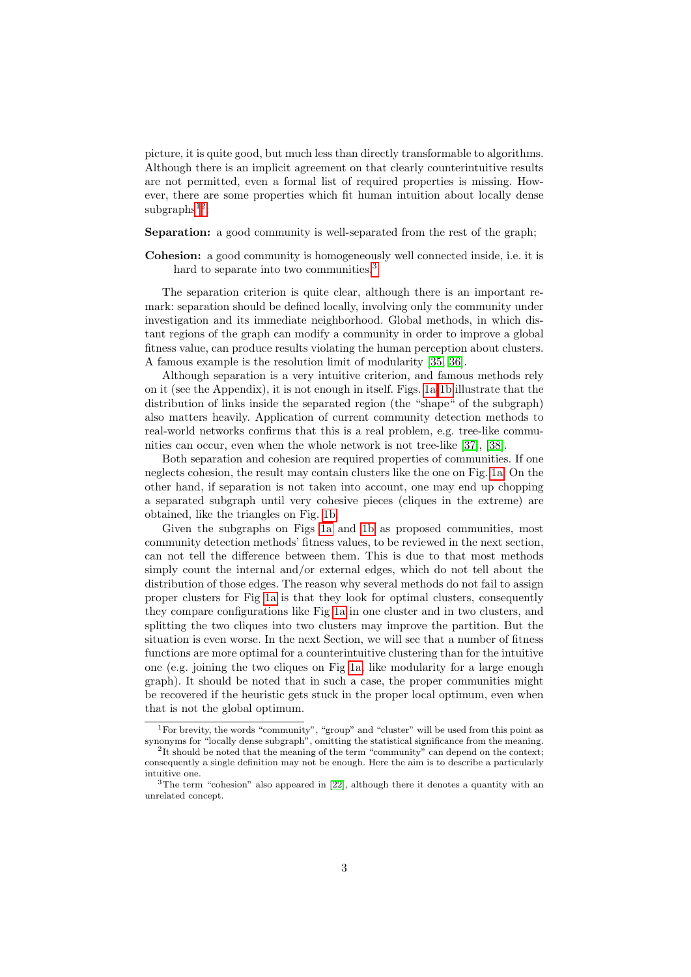picture, it is quite good, but much less than directly transformable to algorithms. Although there is an implicit agreement on that clearly counterintuitive results are not permitted, even a formal list of required properties is missing. However, there are some properties which fit human intuition about locally dense  $subgraphs$ <sup>[1](#page-2-0)[2](#page-2-1)</sup>:

Separation: a good community is well-separated from the rest of the graph;

Cohesion: a good community is homogeneously well connected inside, i.e. it is hard to separate into two communities.<sup>[3](#page-2-2)</sup>

The separation criterion is quite clear, although there is an important remark: separation should be defined locally, involving only the community under investigation and its immediate neighborhood. Global methods, in which distant regions of the graph can modify a community in order to improve a global fitness value, can produce results violating the human perception about clusters. A famous example is the resolution limit of modularity [\[35,](#page-26-14) [36\]](#page-26-15).

Although separation is a very intuitive criterion, and famous methods rely on it (see the Appendix), it is not enough in itself. Figs. [1a-](#page-3-0)[1b](#page-3-1) illustrate that the distribution of links inside the separated region (the "shape" of the subgraph) also matters heavily. Application of current community detection methods to real-world networks confirms that this is a real problem, e.g. tree-like communities can occur, even when the whole network is not tree-like [\[37\]](#page-26-16), [\[38\]](#page-26-17).

Both separation and cohesion are required properties of communities. If one neglects cohesion, the result may contain clusters like the one on Fig. [1a.](#page-3-0) On the other hand, if separation is not taken into account, one may end up chopping a separated subgraph until very cohesive pieces (cliques in the extreme) are obtained, like the triangles on Fig. [1b.](#page-3-1)

Given the subgraphs on Figs [1a](#page-3-0) and [1b](#page-3-1) as proposed communities, most community detection methods' fitness values, to be reviewed in the next section, can not tell the difference between them. This is due to that most methods simply count the internal and/or external edges, which do not tell about the distribution of those edges. The reason why several methods do not fail to assign proper clusters for Fig [1a](#page-3-0) is that they look for optimal clusters, consequently they compare configurations like Fig [1a](#page-3-0) in one cluster and in two clusters, and splitting the two cliques into two clusters may improve the partition. But the situation is even worse. In the next Section, we will see that a number of fitness functions are more optimal for a counterintuitive clustering than for the intuitive one (e.g. joining the two cliques on Fig [1a,](#page-3-0) like modularity for a large enough graph). It should be noted that in such a case, the proper communities might be recovered if the heuristic gets stuck in the proper local optimum, even when that is not the global optimum.

<span id="page-2-0"></span><sup>1</sup>For brevity, the words "community", "group" and "cluster" will be used from this point as synonyms for "locally dense subgraph", omitting the statistical significance from the meaning.

<span id="page-2-1"></span><sup>&</sup>lt;sup>2</sup>It should be noted that the meaning of the term "community" can depend on the context; consequently a single definition may not be enough. Here the aim is to describe a particularly intuitive one.

<span id="page-2-2"></span><sup>&</sup>lt;sup>3</sup>The term "cohesion" also appeared in [\[22\]](#page-26-6), although there it denotes a quantity with an unrelated concept.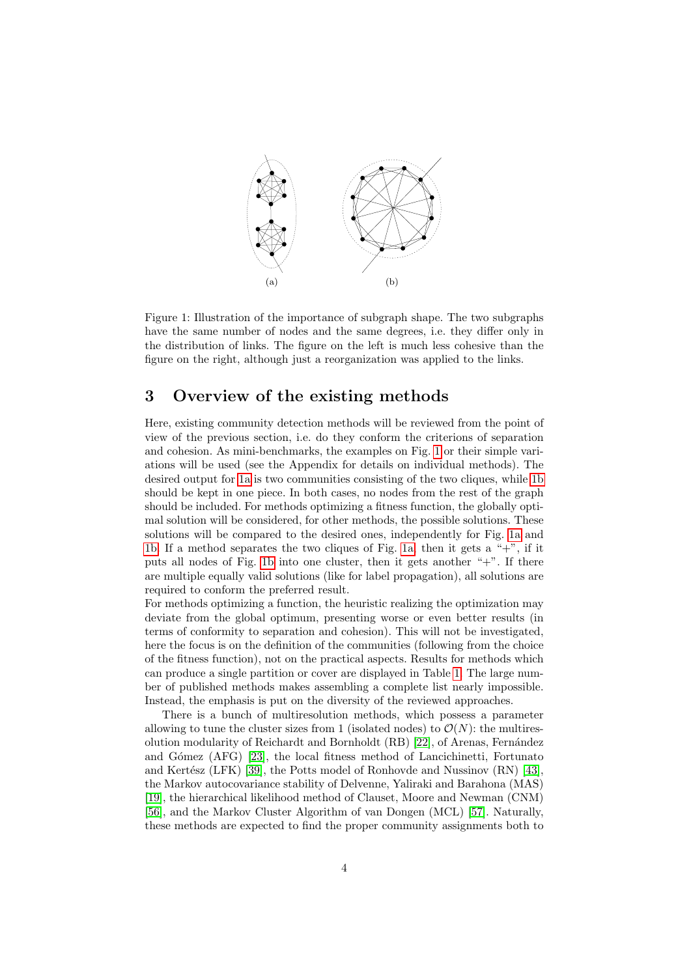<span id="page-3-2"></span><span id="page-3-1"></span><span id="page-3-0"></span>

Figure 1: Illustration of the importance of subgraph shape. The two subgraphs have the same number of nodes and the same degrees, i.e. they differ only in the distribution of links. The figure on the left is much less cohesive than the figure on the right, although just a reorganization was applied to the links.

# 3 Overview of the existing methods

Here, existing community detection methods will be reviewed from the point of view of the previous section, i.e. do they conform the criterions of separation and cohesion. As mini-benchmarks, the examples on Fig. [1](#page-3-2) or their simple variations will be used (see the Appendix for details on individual methods). The desired output for [1a](#page-3-0) is two communities consisting of the two cliques, while [1b](#page-3-1) should be kept in one piece. In both cases, no nodes from the rest of the graph should be included. For methods optimizing a fitness function, the globally optimal solution will be considered, for other methods, the possible solutions. These solutions will be compared to the desired ones, independently for Fig. [1a](#page-3-0) and [1b.](#page-3-1) If a method separates the two cliques of Fig. [1a,](#page-3-0) then it gets a "+", if it puts all nodes of Fig. [1b](#page-3-1) into one cluster, then it gets another  $+$ ". If there are multiple equally valid solutions (like for label propagation), all solutions are required to conform the preferred result.

For methods optimizing a function, the heuristic realizing the optimization may deviate from the global optimum, presenting worse or even better results (in terms of conformity to separation and cohesion). This will not be investigated, here the focus is on the definition of the communities (following from the choice of the fitness function), not on the practical aspects. Results for methods which can produce a single partition or cover are displayed in Table [1.](#page-4-0) The large number of published methods makes assembling a complete list nearly impossible. Instead, the emphasis is put on the diversity of the reviewed approaches.

There is a bunch of multiresolution methods, which possess a parameter allowing to tune the cluster sizes from 1 (isolated nodes) to  $\mathcal{O}(N)$ : the multires-olution modularity of Reichardt and Bornholdt (RB) [\[22\]](#page-26-6), of Arenas, Fernández and Gómez (AFG) [\[23\]](#page-26-7), the local fitness method of Lancichinetti, Fortunato and Kertész (LFK) [\[39\]](#page-26-18), the Potts model of Ronhovde and Nussinov  $(RN)$  [\[43\]](#page-27-0), the Markov autocovariance stability of Delvenne, Yaliraki and Barahona (MAS) [\[19\]](#page-26-2), the hierarchical likelihood method of Clauset, Moore and Newman (CNM) [\[56\]](#page-27-1), and the Markov Cluster Algorithm of van Dongen (MCL) [\[57\]](#page-27-2). Naturally, these methods are expected to find the proper community assignments both to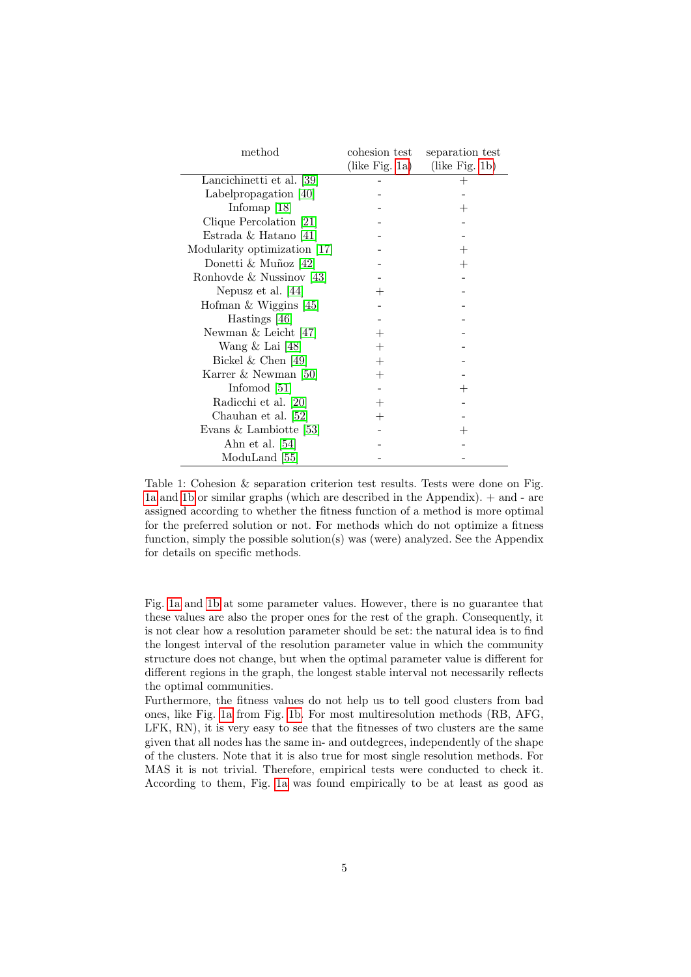<span id="page-4-0"></span>

| method                       | cohesion test      | separation test    |
|------------------------------|--------------------|--------------------|
|                              | (like Fig. 1a)     | (like Fig. 1b)     |
| Lancichinetti et al. [39]    |                    |                    |
| Labelpropagation $[40]$      |                    |                    |
| Infomap $[18]$               |                    | $\hspace{0.1mm} +$ |
| Clique Percolation [21]      |                    |                    |
| Estrada & Hatano [41]        |                    |                    |
| Modularity optimization [17] |                    |                    |
| Donetti & Muñoz [42]         |                    | $^+$               |
| Ronhovde & Nussinov [43]     |                    |                    |
| Nepusz et al. [44]           | $^+$               |                    |
| Hofman & Wiggins [45]        |                    |                    |
| Hastings [46]                |                    |                    |
| Newman $&$ Leicht [47]       | $^+$               |                    |
| Wang $\&$ Lai [48]           |                    |                    |
| Bickel & Chen [49]           | $\hspace{0.1mm} +$ |                    |
| Karrer & Newman [50]         | $\hspace{0.1mm} +$ |                    |
| Infomod $[51]$               |                    |                    |
| Radicchi et al. [20]         | $^+$               |                    |
| Chauhan et al. [52]          |                    |                    |
| Evans & Lambiotte [53]       |                    |                    |
| Ahn et al. $[54]$            |                    |                    |
| ModuLand [55]                |                    |                    |

Table 1: Cohesion & separation criterion test results. Tests were done on Fig. [1a](#page-3-0) and [1b](#page-3-1) or similar graphs (which are described in the Appendix). + and - are assigned according to whether the fitness function of a method is more optimal for the preferred solution or not. For methods which do not optimize a fitness function, simply the possible solution(s) was (were) analyzed. See the Appendix for details on specific methods.

Fig. [1a](#page-3-0) and [1b](#page-3-1) at some parameter values. However, there is no guarantee that these values are also the proper ones for the rest of the graph. Consequently, it is not clear how a resolution parameter should be set: the natural idea is to find the longest interval of the resolution parameter value in which the community structure does not change, but when the optimal parameter value is different for different regions in the graph, the longest stable interval not necessarily reflects the optimal communities.

Furthermore, the fitness values do not help us to tell good clusters from bad ones, like Fig. [1a](#page-3-0) from Fig. [1b.](#page-3-1) For most multiresolution methods (RB, AFG, LFK, RN), it is very easy to see that the fitnesses of two clusters are the same given that all nodes has the same in- and outdegrees, independently of the shape of the clusters. Note that it is also true for most single resolution methods. For MAS it is not trivial. Therefore, empirical tests were conducted to check it. According to them, Fig. [1a](#page-3-0) was found empirically to be at least as good as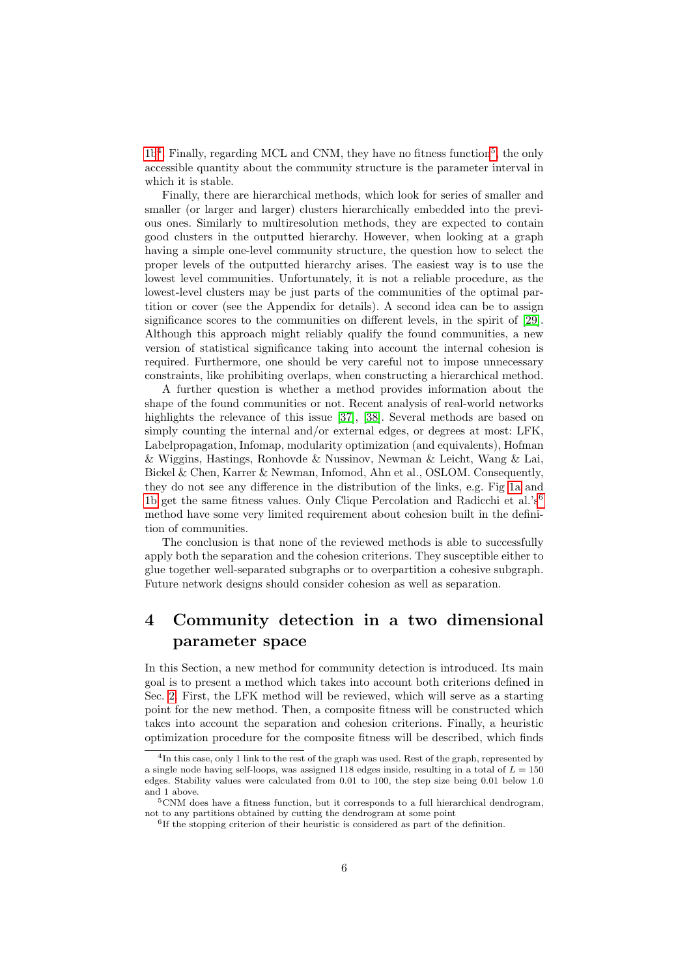[1b](#page-3-1)<sup>[4](#page-5-0)</sup>. Finally, regarding MCL and CNM, they have no fitness function<sup>[5](#page-5-1)</sup>, the only accessible quantity about the community structure is the parameter interval in which it is stable.

Finally, there are hierarchical methods, which look for series of smaller and smaller (or larger and larger) clusters hierarchically embedded into the previous ones. Similarly to multiresolution methods, they are expected to contain good clusters in the outputted hierarchy. However, when looking at a graph having a simple one-level community structure, the question how to select the proper levels of the outputted hierarchy arises. The easiest way is to use the lowest level communities. Unfortunately, it is not a reliable procedure, as the lowest-level clusters may be just parts of the communities of the optimal partition or cover (see the Appendix for details). A second idea can be to assign significance scores to the communities on different levels, in the spirit of [\[29\]](#page-26-19). Although this approach might reliably qualify the found communities, a new version of statistical significance taking into account the internal cohesion is required. Furthermore, one should be very careful not to impose unnecessary constraints, like prohibiting overlaps, when constructing a hierarchical method.

A further question is whether a method provides information about the shape of the found communities or not. Recent analysis of real-world networks highlights the relevance of this issue [\[37\]](#page-26-16), [\[38\]](#page-26-17). Several methods are based on simply counting the internal and/or external edges, or degrees at most: LFK, Labelpropagation, Infomap, modularity optimization (and equivalents), Hofman & Wiggins, Hastings, Ronhovde & Nussinov, Newman & Leicht, Wang & Lai, Bickel & Chen, Karrer & Newman, Infomod, Ahn et al., OSLOM. Consequently, they do not see any difference in the distribution of the links, e.g. Fig [1a](#page-3-0) and [1b](#page-3-1) get the same fitness values. Only Clique Percolation and Radicchi et al.'s<sup>[6](#page-5-2)</sup> method have some very limited requirement about cohesion built in the definition of communities.

The conclusion is that none of the reviewed methods is able to successfully apply both the separation and the cohesion criterions. They susceptible either to glue together well-separated subgraphs or to overpartition a cohesive subgraph. Future network designs should consider cohesion as well as separation.

# 4 Community detection in a two dimensional parameter space

In this Section, a new method for community detection is introduced. Its main goal is to present a method which takes into account both criterions defined in Sec. [2.](#page-1-0) First, the LFK method will be reviewed, which will serve as a starting point for the new method. Then, a composite fitness will be constructed which takes into account the separation and cohesion criterions. Finally, a heuristic optimization procedure for the composite fitness will be described, which finds

<span id="page-5-0"></span><sup>4</sup> In this case, only 1 link to the rest of the graph was used. Rest of the graph, represented by a single node having self-loops, was assigned 118 edges inside, resulting in a total of  $L = 150$ edges. Stability values were calculated from 0.01 to 100, the step size being 0.01 below 1.0 and 1 above.

<span id="page-5-1"></span> $5$ CNM does have a fitness function, but it corresponds to a full hierarchical dendrogram, not to any partitions obtained by cutting the dendrogram at some point

<span id="page-5-2"></span><sup>&</sup>lt;sup>6</sup>If the stopping criterion of their heuristic is considered as part of the definition.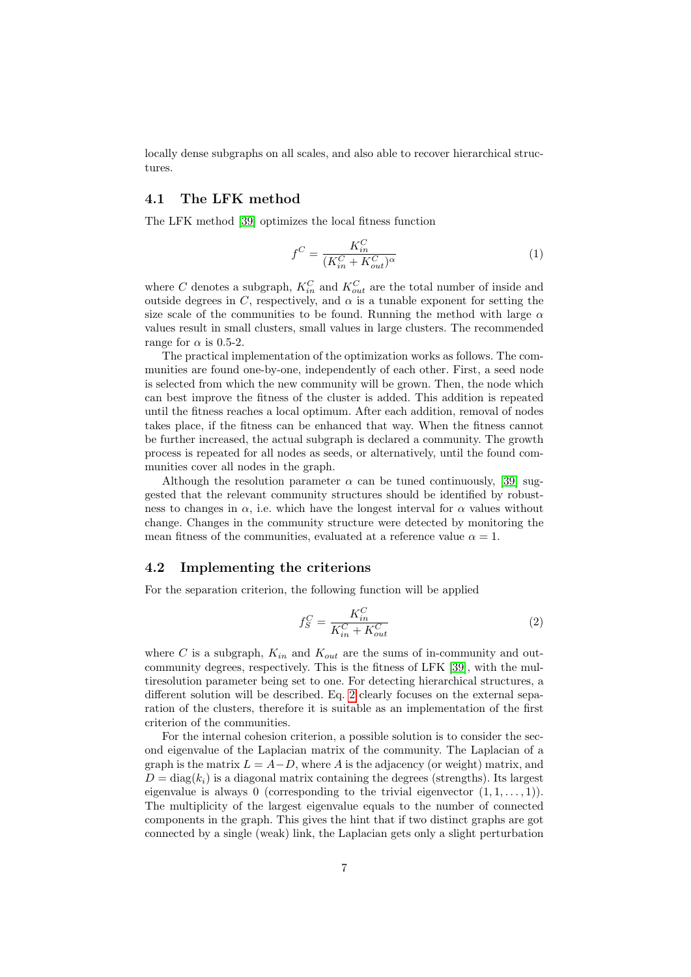locally dense subgraphs on all scales, and also able to recover hierarchical structures.

### 4.1 The LFK method

The LFK method [\[39\]](#page-26-18) optimizes the local fitness function

<span id="page-6-1"></span>
$$
f^C = \frac{K_{in}^C}{(K_{in}^C + K_{out}^C)^{\alpha}}
$$
\n<sup>(1)</sup>

where C denotes a subgraph,  $K_{in}^C$  and  $K_{out}^C$  are the total number of inside and outside degrees in C, respectively, and  $\alpha$  is a tunable exponent for setting the size scale of the communities to be found. Running the method with large  $\alpha$ values result in small clusters, small values in large clusters. The recommended range for  $\alpha$  is 0.5-2.

The practical implementation of the optimization works as follows. The communities are found one-by-one, independently of each other. First, a seed node is selected from which the new community will be grown. Then, the node which can best improve the fitness of the cluster is added. This addition is repeated until the fitness reaches a local optimum. After each addition, removal of nodes takes place, if the fitness can be enhanced that way. When the fitness cannot be further increased, the actual subgraph is declared a community. The growth process is repeated for all nodes as seeds, or alternatively, until the found communities cover all nodes in the graph.

Although the resolution parameter  $\alpha$  can be tuned continuously, [\[39\]](#page-26-18) suggested that the relevant community structures should be identified by robustness to changes in  $\alpha$ , i.e. which have the longest interval for  $\alpha$  values without change. Changes in the community structure were detected by monitoring the mean fitness of the communities, evaluated at a reference value  $\alpha = 1$ .

#### 4.2 Implementing the criterions

For the separation criterion, the following function will be applied

<span id="page-6-0"></span>
$$
f_S^C = \frac{K_{in}^C}{K_{in}^C + K_{out}^C}
$$
\n<sup>(2)</sup>

where C is a subgraph,  $K_{in}$  and  $K_{out}$  are the sums of in-community and outcommunity degrees, respectively. This is the fitness of LFK [\[39\]](#page-26-18), with the multiresolution parameter being set to one. For detecting hierarchical structures, a different solution will be described. Eq. [2](#page-6-0) clearly focuses on the external separation of the clusters, therefore it is suitable as an implementation of the first criterion of the communities.

For the internal cohesion criterion, a possible solution is to consider the second eigenvalue of the Laplacian matrix of the community. The Laplacian of a graph is the matrix  $L = A-D$ , where A is the adjacency (or weight) matrix, and  $D = \text{diag}(k_i)$  is a diagonal matrix containing the degrees (strengths). Its largest eigenvalue is always 0 (corresponding to the trivial eigenvector  $(1, 1, \ldots, 1)$ ). The multiplicity of the largest eigenvalue equals to the number of connected components in the graph. This gives the hint that if two distinct graphs are got connected by a single (weak) link, the Laplacian gets only a slight perturbation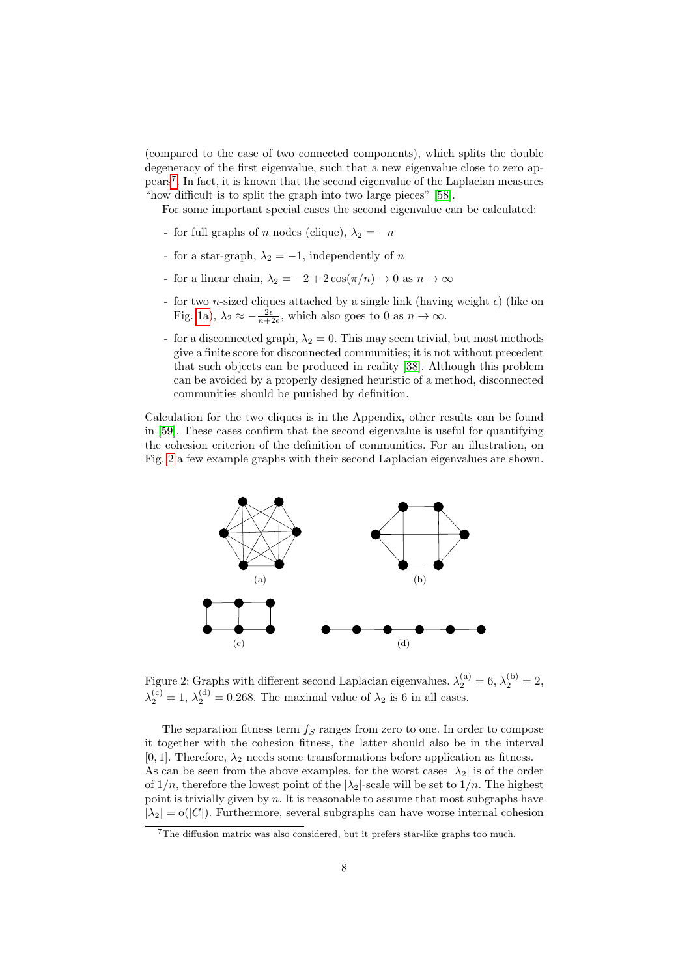(compared to the case of two connected components), which splits the double degeneracy of the first eigenvalue, such that a new eigenvalue close to zero appears[7](#page-7-0) . In fact, it is known that the second eigenvalue of the Laplacian measures "how difficult is to split the graph into two large pieces" [\[58\]](#page-27-18).

For some important special cases the second eigenvalue can be calculated:

- for full graphs of n nodes (clique),  $\lambda_2 = -n$
- for a star-graph,  $\lambda_2 = -1$ , independently of n
- for a linear chain,  $\lambda_2 = -2 + 2 \cos(\pi/n) \to 0$  as  $n \to \infty$
- for two *n*-sized cliques attached by a single link (having weight  $\epsilon$ ) (like on Fig. [1a\)](#page-3-0),  $\lambda_2 \approx -\frac{2\epsilon}{n+2\epsilon}$ , which also goes to 0 as  $n \to \infty$ .
- for a disconnected graph,  $\lambda_2 = 0$ . This may seem trivial, but most methods give a finite score for disconnected communities; it is not without precedent that such objects can be produced in reality [\[38\]](#page-26-17). Although this problem can be avoided by a properly designed heuristic of a method, disconnected communities should be punished by definition.

Calculation for the two cliques is in the Appendix, other results can be found in [\[59\]](#page-27-19). These cases confirm that the second eigenvalue is useful for quantifying the cohesion criterion of the definition of communities. For an illustration, on Fig. [2](#page-7-1) a few example graphs with their second Laplacian eigenvalues are shown.

<span id="page-7-1"></span>

Figure 2: Graphs with different second Laplacian eigenvalues.  $\lambda_2^{(a)} = 6, \lambda_2^{(b)} = 2,$  $\lambda_2^{(c)} = 1, \lambda_2^{(d)} = 0.268$ . The maximal value of  $\lambda_2$  is 6 in all cases.

The separation fitness term  $f_S$  ranges from zero to one. In order to compose it together with the cohesion fitness, the latter should also be in the interval [0, 1]. Therefore,  $\lambda_2$  needs some transformations before application as fitness. As can be seen from the above examples, for the worst cases  $|\lambda_2|$  is of the order of  $1/n$ , therefore the lowest point of the  $|\lambda_2|$ -scale will be set to  $1/n$ . The highest point is trivially given by  $n$ . It is reasonable to assume that most subgraphs have  $|\lambda_2| = o(|C|)$ . Furthermore, several subgraphs can have worse internal cohesion

<span id="page-7-0"></span><sup>7</sup>The diffusion matrix was also considered, but it prefers star-like graphs too much.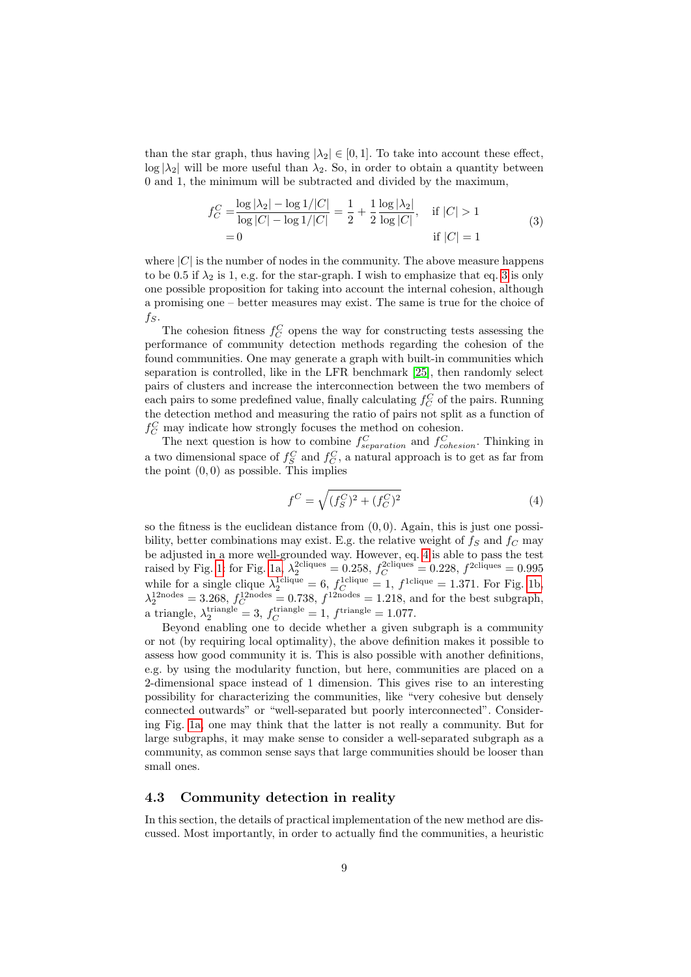than the star graph, thus having  $|\lambda_2| \in [0,1]$ . To take into account these effect,  $\log |\lambda_2|$  will be more useful than  $\lambda_2$ . So, in order to obtain a quantity between 0 and 1, the minimum will be subtracted and divided by the maximum,

$$
f_C^C = \frac{\log |\lambda_2| - \log 1/|C|}{\log |C| - \log 1/|C|} = \frac{1}{2} + \frac{1}{2} \frac{\log |\lambda_2|}{\log |C|}, \quad \text{if } |C| > 1
$$
  
= 0 \qquad \qquad \text{if } |C| = 1 \qquad (3)

<span id="page-8-0"></span>where  $|C|$  is the number of nodes in the community. The above measure happens to be 0.5 if  $\lambda_2$  is 1, e.g. for the star-graph. I wish to emphasize that eq. [3](#page-8-0) is only one possible proposition for taking into account the internal cohesion, although a promising one – better measures may exist. The same is true for the choice of  $f_S$ .

The cohesion fitness  $f_C^C$  opens the way for constructing tests assessing the performance of community detection methods regarding the cohesion of the found communities. One may generate a graph with built-in communities which separation is controlled, like in the LFR benchmark [\[25\]](#page-26-9), then randomly select pairs of clusters and increase the interconnection between the two members of each pairs to some predefined value, finally calculating  $f_C^C$  of the pairs. Running the detection method and measuring the ratio of pairs not split as a function of  $f_C^C$  may indicate how strongly focuses the method on cohesion.

The next question is how to combine  $f_{separation}^C$  and  $f_{cohesion}^C$ . Thinking in a two dimensional space of  $f_S^C$  and  $f_C^C$ , a natural approach is to get as far from the point  $(0, 0)$  as possible. This implies

<span id="page-8-1"></span>
$$
f^{C} = \sqrt{(f_{S}^{C})^{2} + (f_{C}^{C})^{2}}
$$
\n(4)

so the fitness is the euclidean distance from  $(0, 0)$ . Again, this is just one possibility, better combinations may exist. E.g. the relative weight of  $f_S$  and  $f_C$  may be adjusted in a more well-grounded way. However, eq. [4](#page-8-1) is able to pass the test raised by Fig. [1:](#page-3-2) for Fig. [1a,](#page-3-0)  $\lambda_2^{\text{2cliques}} = 0.258$ ,  $f_C^{\text{2cliques}} = 0.228$ ,  $f^{\text{2cliques}} = 0.995$ while for a single clique  $\lambda_2^{\text{1clique}} = 6$ ,  $f_C^{\text{1clique}} = 1$ ,  $f^{\text{1clique}} = 1.371$ . For Fig. [1b,](#page-3-1)  $\lambda_2^{12\text{nodes}} = 3.268, f_C^{12\text{nodes}} = 0.738, f_{12\text{nodes}} = 1.218, \text{ and for the best subgraph,}$ a triangle,  $\lambda_2^{\text{triangle}} = 3$ ,  $f_C^{\text{triangle}} = 1$ ,  $f^{\text{triangle}} = 1.077$ .

Beyond enabling one to decide whether a given subgraph is a community or not (by requiring local optimality), the above definition makes it possible to assess how good community it is. This is also possible with another definitions, e.g. by using the modularity function, but here, communities are placed on a 2-dimensional space instead of 1 dimension. This gives rise to an interesting possibility for characterizing the communities, like "very cohesive but densely connected outwards" or "well-separated but poorly interconnected". Considering Fig. [1a,](#page-3-0) one may think that the latter is not really a community. But for large subgraphs, it may make sense to consider a well-separated subgraph as a community, as common sense says that large communities should be looser than small ones.

#### 4.3 Community detection in reality

In this section, the details of practical implementation of the new method are discussed. Most importantly, in order to actually find the communities, a heuristic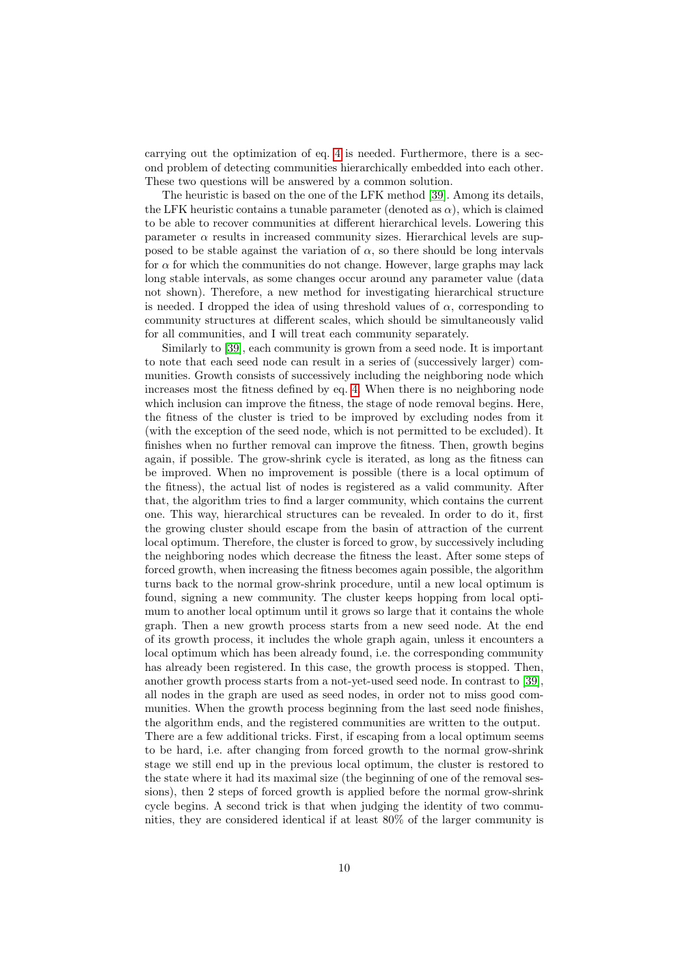carrying out the optimization of eq. [4](#page-8-1) is needed. Furthermore, there is a second problem of detecting communities hierarchically embedded into each other. These two questions will be answered by a common solution.

The heuristic is based on the one of the LFK method [\[39\]](#page-26-18). Among its details, the LFK heuristic contains a tunable parameter (denoted as  $\alpha$ ), which is claimed to be able to recover communities at different hierarchical levels. Lowering this parameter  $\alpha$  results in increased community sizes. Hierarchical levels are supposed to be stable against the variation of  $\alpha$ , so there should be long intervals for  $\alpha$  for which the communities do not change. However, large graphs may lack long stable intervals, as some changes occur around any parameter value (data not shown). Therefore, a new method for investigating hierarchical structure is needed. I dropped the idea of using threshold values of  $\alpha$ , corresponding to community structures at different scales, which should be simultaneously valid for all communities, and I will treat each community separately.

Similarly to [\[39\]](#page-26-18), each community is grown from a seed node. It is important to note that each seed node can result in a series of (successively larger) communities. Growth consists of successively including the neighboring node which increases most the fitness defined by eq. [4.](#page-8-1) When there is no neighboring node which inclusion can improve the fitness, the stage of node removal begins. Here, the fitness of the cluster is tried to be improved by excluding nodes from it (with the exception of the seed node, which is not permitted to be excluded). It finishes when no further removal can improve the fitness. Then, growth begins again, if possible. The grow-shrink cycle is iterated, as long as the fitness can be improved. When no improvement is possible (there is a local optimum of the fitness), the actual list of nodes is registered as a valid community. After that, the algorithm tries to find a larger community, which contains the current one. This way, hierarchical structures can be revealed. In order to do it, first the growing cluster should escape from the basin of attraction of the current local optimum. Therefore, the cluster is forced to grow, by successively including the neighboring nodes which decrease the fitness the least. After some steps of forced growth, when increasing the fitness becomes again possible, the algorithm turns back to the normal grow-shrink procedure, until a new local optimum is found, signing a new community. The cluster keeps hopping from local optimum to another local optimum until it grows so large that it contains the whole graph. Then a new growth process starts from a new seed node. At the end of its growth process, it includes the whole graph again, unless it encounters a local optimum which has been already found, i.e. the corresponding community has already been registered. In this case, the growth process is stopped. Then, another growth process starts from a not-yet-used seed node. In contrast to [\[39\]](#page-26-18), all nodes in the graph are used as seed nodes, in order not to miss good communities. When the growth process beginning from the last seed node finishes, the algorithm ends, and the registered communities are written to the output. There are a few additional tricks. First, if escaping from a local optimum seems to be hard, i.e. after changing from forced growth to the normal grow-shrink stage we still end up in the previous local optimum, the cluster is restored to the state where it had its maximal size (the beginning of one of the removal sessions), then 2 steps of forced growth is applied before the normal grow-shrink cycle begins. A second trick is that when judging the identity of two communities, they are considered identical if at least 80% of the larger community is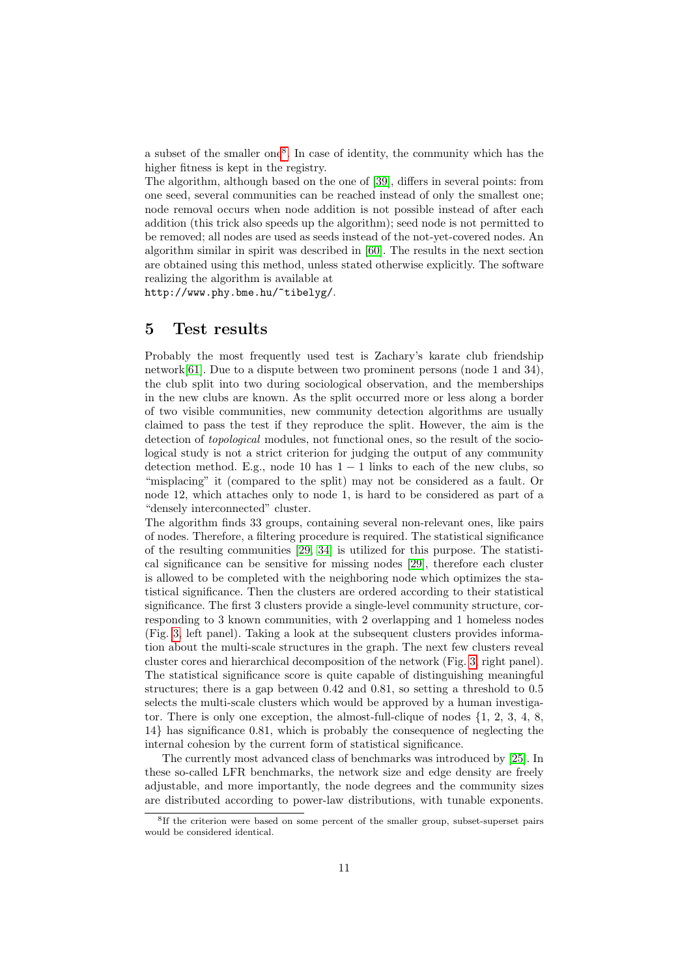a subset of the smaller one[8](#page-10-0) . In case of identity, the community which has the higher fitness is kept in the registry.

The algorithm, although based on the one of [\[39\]](#page-26-18), differs in several points: from one seed, several communities can be reached instead of only the smallest one; node removal occurs when node addition is not possible instead of after each addition (this trick also speeds up the algorithm); seed node is not permitted to be removed; all nodes are used as seeds instead of the not-yet-covered nodes. An algorithm similar in spirit was described in [\[60\]](#page-27-20). The results in the next section are obtained using this method, unless stated otherwise explicitly. The software realizing the algorithm is available at

http://www.phy.bme.hu/~tibelyg/.

## 5 Test results

Probably the most frequently used test is Zachary's karate club friendship network[\[61\]](#page-27-21). Due to a dispute between two prominent persons (node 1 and 34), the club split into two during sociological observation, and the memberships in the new clubs are known. As the split occurred more or less along a border of two visible communities, new community detection algorithms are usually claimed to pass the test if they reproduce the split. However, the aim is the detection of *topological* modules, not functional ones, so the result of the sociological study is not a strict criterion for judging the output of any community detection method. E.g., node 10 has  $1 - 1$  links to each of the new clubs, so "misplacing" it (compared to the split) may not be considered as a fault. Or node 12, which attaches only to node 1, is hard to be considered as part of a "densely interconnected" cluster.

The algorithm finds 33 groups, containing several non-relevant ones, like pairs of nodes. Therefore, a filtering procedure is required. The statistical significance of the resulting communities [\[29,](#page-26-19) [34\]](#page-26-13) is utilized for this purpose. The statistical significance can be sensitive for missing nodes [\[29\]](#page-26-19), therefore each cluster is allowed to be completed with the neighboring node which optimizes the statistical significance. Then the clusters are ordered according to their statistical significance. The first 3 clusters provide a single-level community structure, corresponding to 3 known communities, with 2 overlapping and 1 homeless nodes (Fig. [3,](#page-11-0) left panel). Taking a look at the subsequent clusters provides information about the multi-scale structures in the graph. The next few clusters reveal cluster cores and hierarchical decomposition of the network (Fig. [3,](#page-11-0) right panel). The statistical significance score is quite capable of distinguishing meaningful structures; there is a gap between 0.42 and 0.81, so setting a threshold to 0.5 selects the multi-scale clusters which would be approved by a human investigator. There is only one exception, the almost-full-clique of nodes {1, 2, 3, 4, 8, 14} has significance 0.81, which is probably the consequence of neglecting the internal cohesion by the current form of statistical significance.

The currently most advanced class of benchmarks was introduced by [\[25\]](#page-26-9). In these so-called LFR benchmarks, the network size and edge density are freely adjustable, and more importantly, the node degrees and the community sizes are distributed according to power-law distributions, with tunable exponents.

<span id="page-10-0"></span><sup>&</sup>lt;sup>8</sup>If the criterion were based on some percent of the smaller group, subset-superset pairs would be considered identical.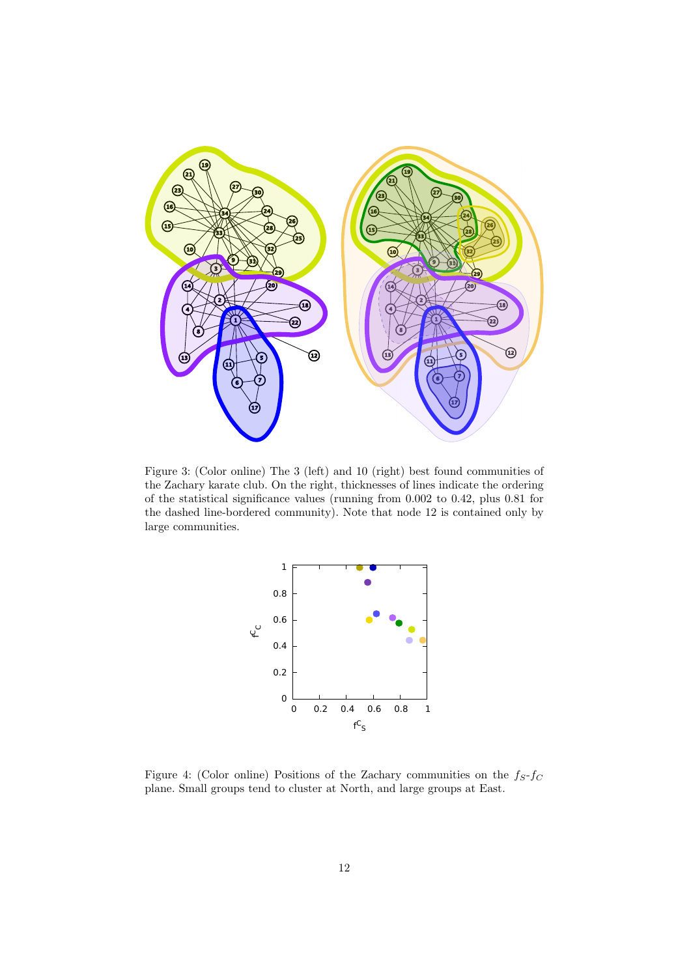<span id="page-11-0"></span>

Figure 3: (Color online) The 3 (left) and 10 (right) best found communities of the Zachary karate club. On the right, thicknesses of lines indicate the ordering of the statistical significance values (running from 0.002 to 0.42, plus 0.81 for the dashed line-bordered community). Note that node 12 is contained only by large communities.



Figure 4: (Color online) Positions of the Zachary communities on the  $f_S-f_C$ plane. Small groups tend to cluster at North, and large groups at East.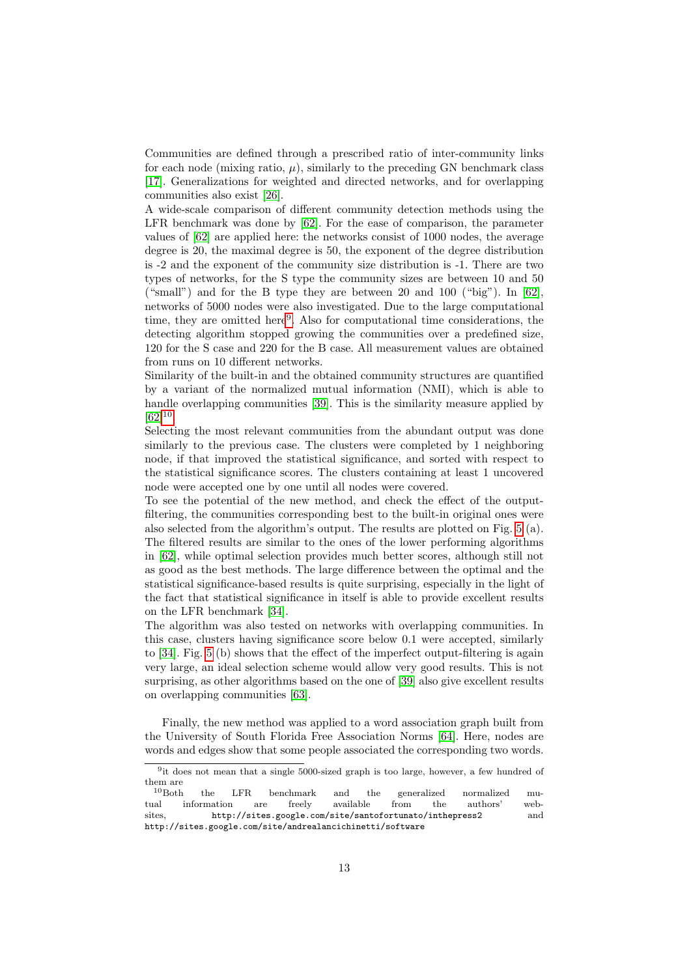Communities are defined through a prescribed ratio of inter-community links for each node (mixing ratio,  $\mu$ ), similarly to the preceding GN benchmark class [\[17\]](#page-26-1). Generalizations for weighted and directed networks, and for overlapping communities also exist [\[26\]](#page-26-10).

A wide-scale comparison of different community detection methods using the LFR benchmark was done by [\[62\]](#page-27-22). For the ease of comparison, the parameter values of [\[62\]](#page-27-22) are applied here: the networks consist of 1000 nodes, the average degree is 20, the maximal degree is 50, the exponent of the degree distribution is -2 and the exponent of the community size distribution is -1. There are two types of networks, for the S type the community sizes are between 10 and 50 ("small") and for the B type they are between 20 and 100 ("big"). In  $[62]$ , networks of 5000 nodes were also investigated. Due to the large computational time, they are omitted here<sup>[9](#page-12-0)</sup>. Also for computational time considerations, the detecting algorithm stopped growing the communities over a predefined size, 120 for the S case and 220 for the B case. All measurement values are obtained from runs on 10 different networks.

Similarity of the built-in and the obtained community structures are quantified by a variant of the normalized mutual information (NMI), which is able to handle overlapping communities [\[39\]](#page-26-18). This is the similarity measure applied by  $[62]^{10}$  $[62]^{10}$  $[62]^{10}$  $[62]^{10}$ .

Selecting the most relevant communities from the abundant output was done similarly to the previous case. The clusters were completed by 1 neighboring node, if that improved the statistical significance, and sorted with respect to the statistical significance scores. The clusters containing at least 1 uncovered node were accepted one by one until all nodes were covered.

To see the potential of the new method, and check the effect of the outputfiltering, the communities corresponding best to the built-in original ones were also selected from the algorithm's output. The results are plotted on Fig. [5](#page-13-0) (a). The filtered results are similar to the ones of the lower performing algorithms in [\[62\]](#page-27-22), while optimal selection provides much better scores, although still not as good as the best methods. The large difference between the optimal and the statistical significance-based results is quite surprising, especially in the light of the fact that statistical significance in itself is able to provide excellent results on the LFR benchmark [\[34\]](#page-26-13).

The algorithm was also tested on networks with overlapping communities. In this case, clusters having significance score below 0.1 were accepted, similarly to [\[34\]](#page-26-13). Fig. [5](#page-13-0) (b) shows that the effect of the imperfect output-filtering is again very large, an ideal selection scheme would allow very good results. This is not surprising, as other algorithms based on the one of [\[39\]](#page-26-18) also give excellent results on overlapping communities [\[63\]](#page-27-23).

Finally, the new method was applied to a word association graph built from the University of South Florida Free Association Norms [\[64\]](#page-27-24). Here, nodes are words and edges show that some people associated the corresponding two words.

<span id="page-12-0"></span><sup>&</sup>lt;sup>9</sup>it does not mean that a single 5000-sized graph is too large, however, a few hundred of them are  $^{10}{\rm Both}$ 

<span id="page-12-1"></span>the LFR benchmark and the generalized normalized mu-<br>rmation are freely available from the authors' webtual information are freely available from the authors' websites, http://sites.google.com/site/santofortunato/inthepress2 and http://sites.google.com/site/andrealancichinetti/software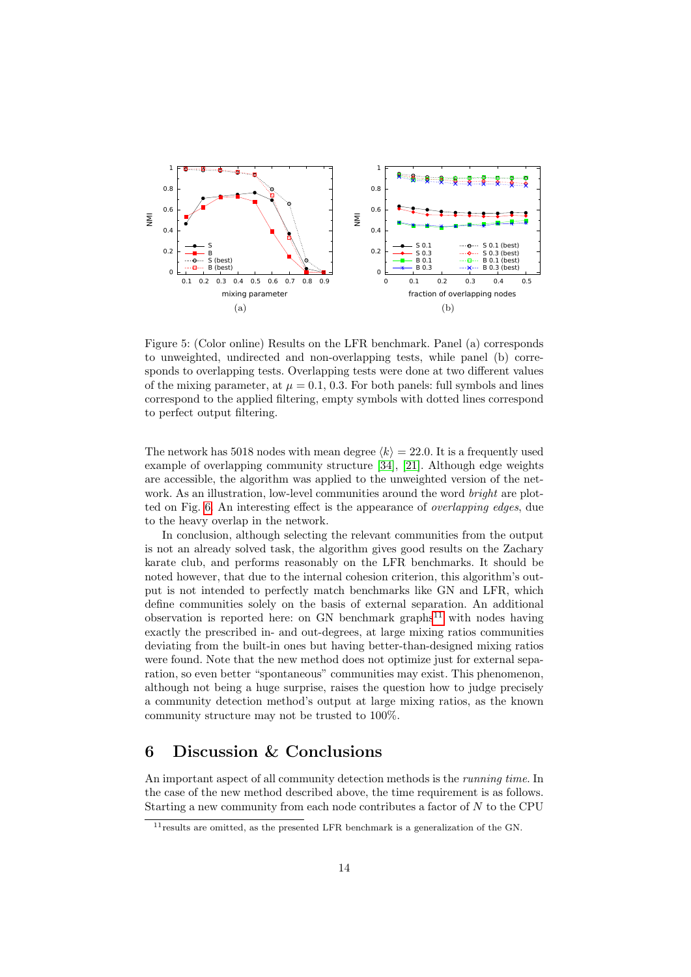<span id="page-13-0"></span>

Figure 5: (Color online) Results on the LFR benchmark. Panel (a) corresponds to unweighted, undirected and non-overlapping tests, while panel (b) corresponds to overlapping tests. Overlapping tests were done at two different values of the mixing parameter, at  $\mu = 0.1, 0.3$ . For both panels: full symbols and lines correspond to the applied filtering, empty symbols with dotted lines correspond to perfect output filtering.

The network has 5018 nodes with mean degree  $\langle k \rangle = 22.0$ . It is a frequently used example of overlapping community structure [\[34\]](#page-26-13), [\[21\]](#page-26-5). Although edge weights are accessible, the algorithm was applied to the unweighted version of the network. As an illustration, low-level communities around the word *bright* are plotted on Fig. [6.](#page-14-0) An interesting effect is the appearance of overlapping edges, due to the heavy overlap in the network.

In conclusion, although selecting the relevant communities from the output is not an already solved task, the algorithm gives good results on the Zachary karate club, and performs reasonably on the LFR benchmarks. It should be noted however, that due to the internal cohesion criterion, this algorithm's output is not intended to perfectly match benchmarks like GN and LFR, which define communities solely on the basis of external separation. An additional observation is reported here: on GN benchmark graphs<sup>[11](#page-13-1)</sup> with nodes having exactly the prescribed in- and out-degrees, at large mixing ratios communities deviating from the built-in ones but having better-than-designed mixing ratios were found. Note that the new method does not optimize just for external separation, so even better "spontaneous" communities may exist. This phenomenon, although not being a huge surprise, raises the question how to judge precisely a community detection method's output at large mixing ratios, as the known community structure may not be trusted to 100%.

## 6 Discussion & Conclusions

An important aspect of all community detection methods is the running time. In the case of the new method described above, the time requirement is as follows. Starting a new community from each node contributes a factor of N to the CPU

<span id="page-13-1"></span> $11$  results are omitted, as the presented LFR benchmark is a generalization of the GN.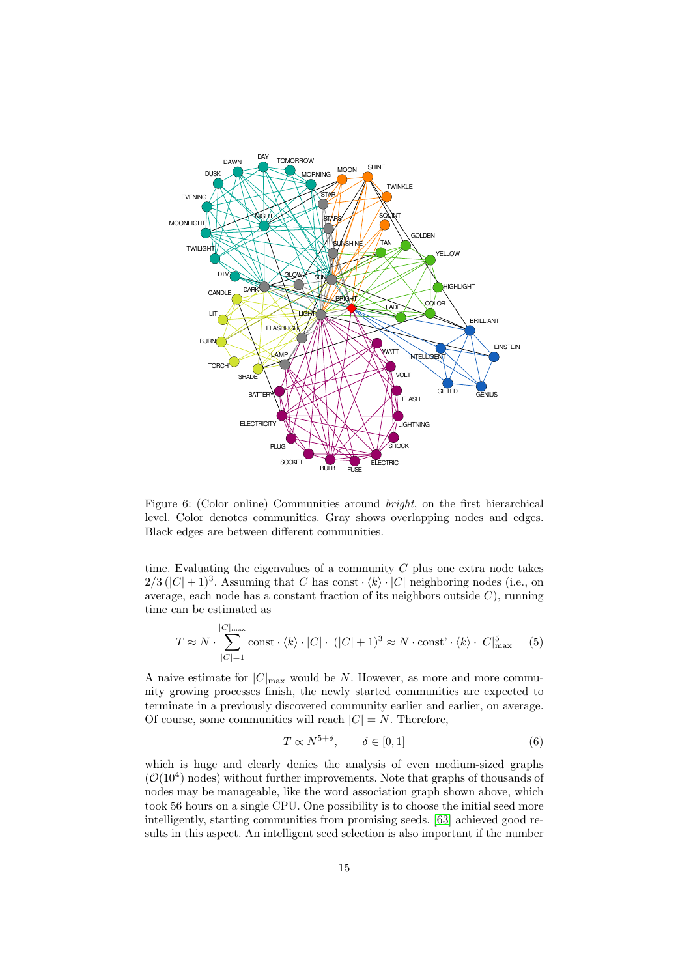<span id="page-14-0"></span>

Figure 6: (Color online) Communities around bright, on the first hierarchical level. Color denotes communities. Gray shows overlapping nodes and edges. Black edges are between different communities.

time. Evaluating the eigenvalues of a community  $C$  plus one extra node takes  $2/3$  ( $|C| + 1$ )<sup>3</sup>. Assuming that C has const  $\langle k \rangle \cdot |C|$  neighboring nodes (i.e., on average, each node has a constant fraction of its neighbors outside  $C$ ), running time can be estimated as

$$
T \approx N \cdot \sum_{|C|=1}^{|C|_{\text{max}}} \text{const} \cdot \langle k \rangle \cdot |C| \cdot (|C|+1)^3 \approx N \cdot \text{const'} \cdot \langle k \rangle \cdot |C|_{\text{max}}^5 \tag{5}
$$

A naive estimate for  $|C|_{\text{max}}$  would be N. However, as more and more community growing processes finish, the newly started communities are expected to terminate in a previously discovered community earlier and earlier, on average. Of course, some communities will reach  $|C| = N$ . Therefore,

$$
T \propto N^{5+\delta}, \qquad \delta \in [0,1] \tag{6}
$$

which is huge and clearly denies the analysis of even medium-sized graphs  $(\mathcal{O}(10^4)$  nodes) without further improvements. Note that graphs of thousands of nodes may be manageable, like the word association graph shown above, which took 56 hours on a single CPU. One possibility is to choose the initial seed more intelligently, starting communities from promising seeds. [\[63\]](#page-27-23) achieved good results in this aspect. An intelligent seed selection is also important if the number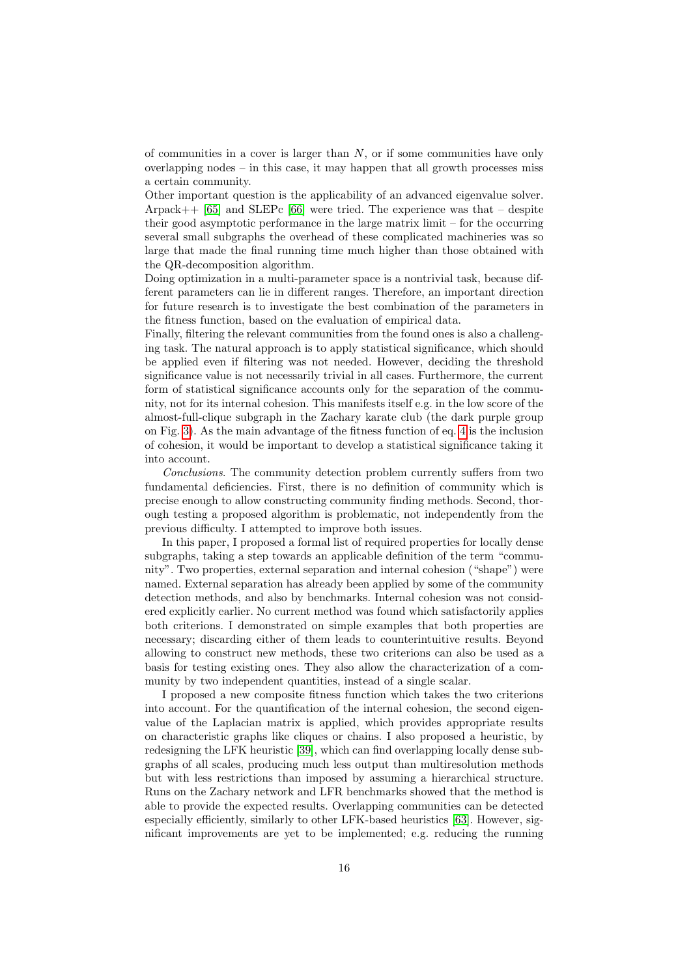of communities in a cover is larger than  $N$ , or if some communities have only overlapping nodes – in this case, it may happen that all growth processes miss a certain community.

Other important question is the applicability of an advanced eigenvalue solver. Arpack $++$  [\[65\]](#page-27-25) and SLEPc [\[66\]](#page-28-0) were tried. The experience was that – despite their good asymptotic performance in the large matrix limit – for the occurring several small subgraphs the overhead of these complicated machineries was so large that made the final running time much higher than those obtained with the QR-decomposition algorithm.

Doing optimization in a multi-parameter space is a nontrivial task, because different parameters can lie in different ranges. Therefore, an important direction for future research is to investigate the best combination of the parameters in the fitness function, based on the evaluation of empirical data.

Finally, filtering the relevant communities from the found ones is also a challenging task. The natural approach is to apply statistical significance, which should be applied even if filtering was not needed. However, deciding the threshold significance value is not necessarily trivial in all cases. Furthermore, the current form of statistical significance accounts only for the separation of the community, not for its internal cohesion. This manifests itself e.g. in the low score of the almost-full-clique subgraph in the Zachary karate club (the dark purple group on Fig. [3\)](#page-11-0). As the main advantage of the fitness function of eq. [4](#page-8-1) is the inclusion of cohesion, it would be important to develop a statistical significance taking it into account.

Conclusions. The community detection problem currently suffers from two fundamental deficiencies. First, there is no definition of community which is precise enough to allow constructing community finding methods. Second, thorough testing a proposed algorithm is problematic, not independently from the previous difficulty. I attempted to improve both issues.

In this paper, I proposed a formal list of required properties for locally dense subgraphs, taking a step towards an applicable definition of the term "community". Two properties, external separation and internal cohesion ("shape") were named. External separation has already been applied by some of the community detection methods, and also by benchmarks. Internal cohesion was not considered explicitly earlier. No current method was found which satisfactorily applies both criterions. I demonstrated on simple examples that both properties are necessary; discarding either of them leads to counterintuitive results. Beyond allowing to construct new methods, these two criterions can also be used as a basis for testing existing ones. They also allow the characterization of a community by two independent quantities, instead of a single scalar.

I proposed a new composite fitness function which takes the two criterions into account. For the quantification of the internal cohesion, the second eigenvalue of the Laplacian matrix is applied, which provides appropriate results on characteristic graphs like cliques or chains. I also proposed a heuristic, by redesigning the LFK heuristic [\[39\]](#page-26-18), which can find overlapping locally dense subgraphs of all scales, producing much less output than multiresolution methods but with less restrictions than imposed by assuming a hierarchical structure. Runs on the Zachary network and LFR benchmarks showed that the method is able to provide the expected results. Overlapping communities can be detected especially efficiently, similarly to other LFK-based heuristics [\[63\]](#page-27-23). However, significant improvements are yet to be implemented; e.g. reducing the running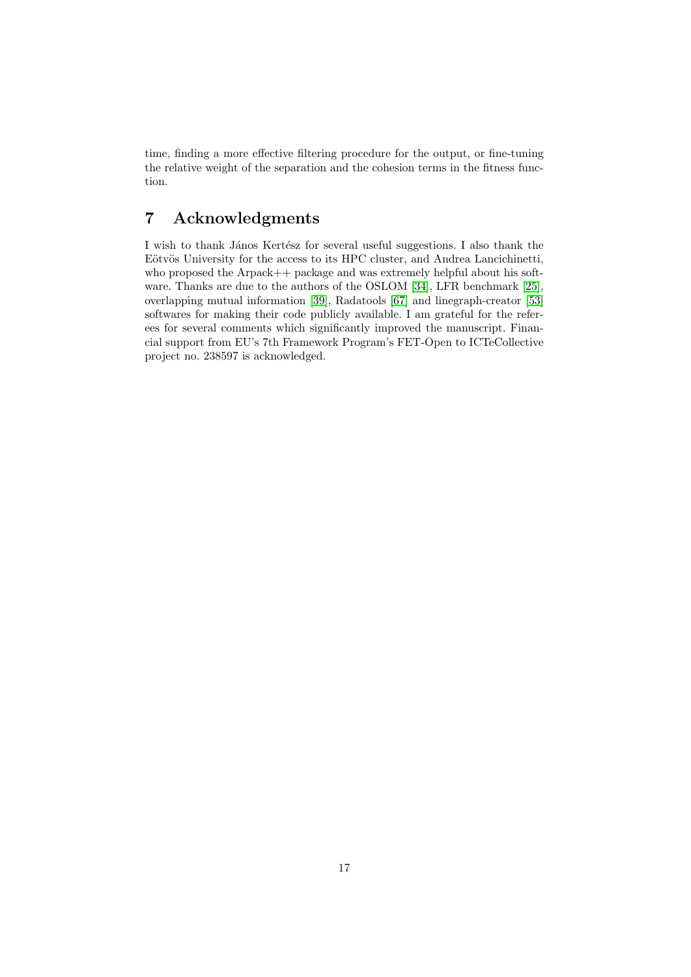time, finding a more effective filtering procedure for the output, or fine-tuning the relative weight of the separation and the cohesion terms in the fitness function.

# 7 Acknowledgments

I wish to thank János Kertész for several useful suggestions. I also thank the Eötvös University for the access to its HPC cluster, and Andrea Lancichinetti, who proposed the Arpack++ package and was extremely helpful about his software. Thanks are due to the authors of the OSLOM [\[34\]](#page-26-13), LFR benchmark [\[25\]](#page-26-9), overlapping mutual information [\[39\]](#page-26-18), Radatools [\[67\]](#page-28-1) and linegraph-creator [\[53\]](#page-27-15) softwares for making their code publicly available. I am grateful for the referees for several comments which significantly improved the manuscript. Financial support from EU's 7th Framework Program's FET-Open to ICTeCollective project no. 238597 is acknowledged.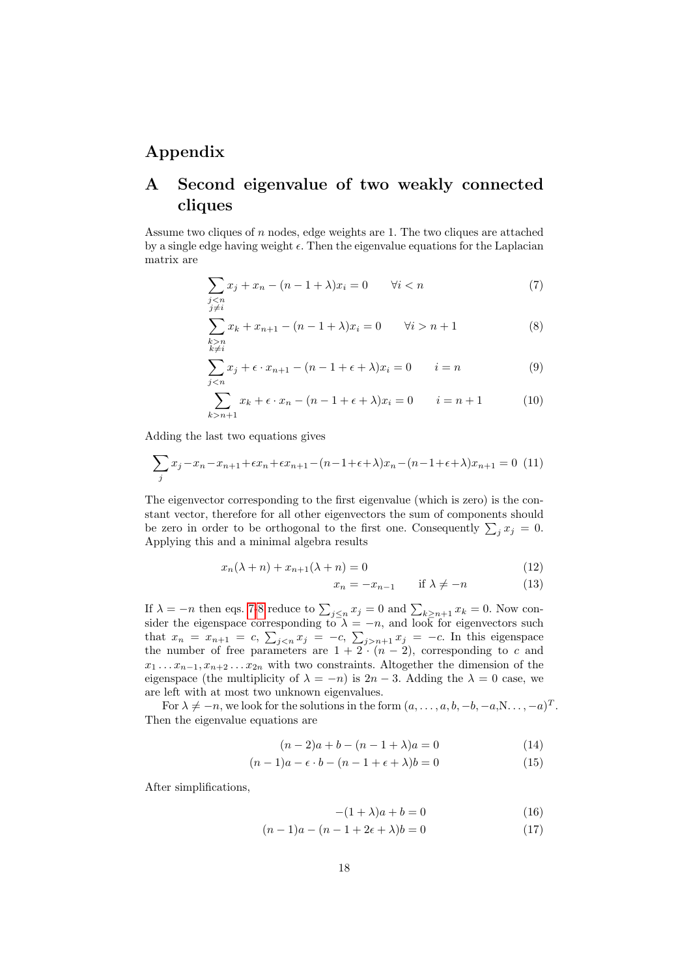# Appendix

# A Second eigenvalue of two weakly connected cliques

Assume two cliques of  $n$  nodes, edge weights are 1. The two cliques are attached by a single edge having weight  $\epsilon$ . Then the eigenvalue equations for the Laplacian matrix are

<span id="page-17-0"></span>
$$
\sum_{\substack{j
$$

<span id="page-17-1"></span>
$$
\sum_{\substack{k>n \ k \neq i}} x_k + x_{n+1} - (n-1+\lambda)x_i = 0 \qquad \forall i > n+1
$$
 (8)

$$
\sum_{j < n} x_j + \epsilon \cdot x_{n+1} - (n-1+\epsilon+\lambda)x_i = 0 \qquad i = n \tag{9}
$$

$$
\sum_{k>n+1} x_k + \epsilon \cdot x_n - (n-1+\epsilon+\lambda)x_i = 0 \qquad i = n+1 \tag{10}
$$

Adding the last two equations gives

$$
\sum_{j} x_j - x_n - x_{n+1} + \epsilon x_n + \epsilon x_{n+1} - (n - 1 + \epsilon + \lambda)x_n - (n - 1 + \epsilon + \lambda)x_{n+1} = 0
$$
 (11)

The eigenvector corresponding to the first eigenvalue (which is zero) is the constant vector, therefore for all other eigenvectors the sum of components should be zero in order to be orthogonal to the first one. Consequently  $\sum_j x_j = 0$ . Applying this and a minimal algebra results

$$
x_n(\lambda + n) + x_{n+1}(\lambda + n) = 0 \tag{12}
$$

$$
x_n = -x_{n-1} \qquad \text{if } \lambda \neq -n \tag{13}
$$

If  $\lambda = -n$  then eqs. [7](#page-17-0)[-8](#page-17-1) reduce to  $\sum_{j \leq n} x_j = 0$  and  $\sum_{k \geq n+1} x_k = 0$ . Now consider the eigenspace corresponding to  $\lambda = -n$ , and look for eigenvectors such that  $x_n = x_{n+1} = c$ ,  $\sum_{j \leq n} x_j = -c$ ,  $\sum_{j > n+1} x_j = -c$ . In this eigenspace the number of free parameters are  $1 + 2 \cdot (n-2)$ , corresponding to c and  $x_1 \ldots x_{n-1}, x_{n+2} \ldots x_{2n}$  with two constraints. Altogether the dimension of the eigenspace (the multiplicity of  $\lambda = -n$ ) is  $2n - 3$ . Adding the  $\lambda = 0$  case, we are left with at most two unknown eigenvalues.

For  $\lambda \neq -n$ , we look for the solutions in the form  $(a, \ldots, a, b, -b, -a, N, \ldots, -a)^T$ . Then the eigenvalue equations are

$$
(n-2)a + b - (n-1+\lambda)a = 0
$$
\n(14)

$$
(n-1)a - \epsilon \cdot b - (n-1+\epsilon+\lambda)b = 0 \tag{15}
$$

After simplifications,

$$
-(1+\lambda)a + b = 0 \tag{16}
$$

$$
(n-1)a - (n-1+2\epsilon + \lambda)b = 0
$$
\n(17)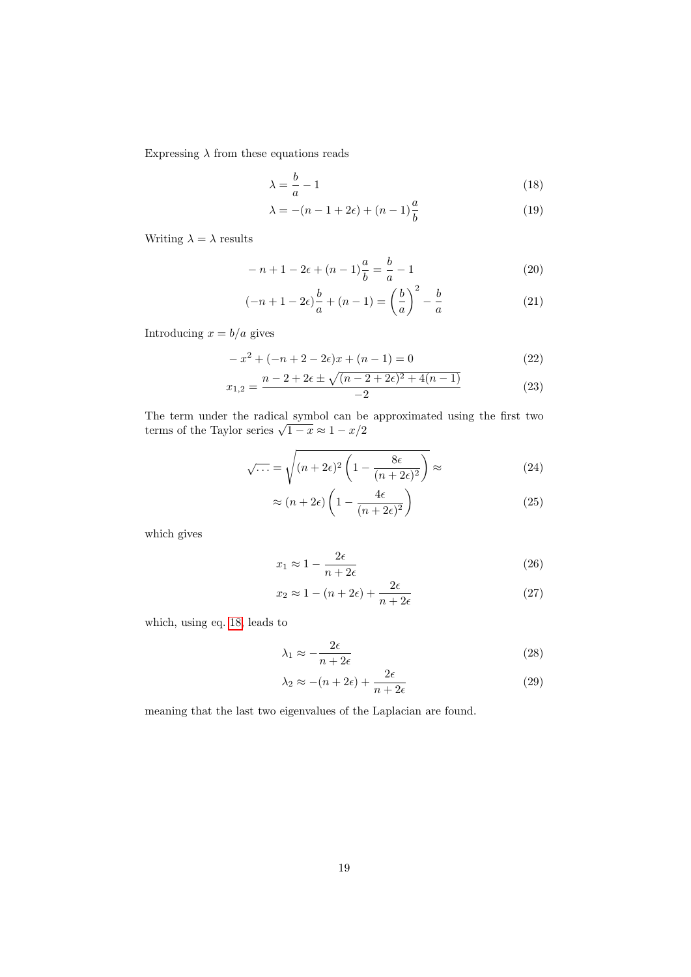Expressing  $\lambda$  from these equations reads

$$
\lambda = \frac{b}{a} - 1\tag{18}
$$

<span id="page-18-0"></span>
$$
\lambda = -(n-1+2\epsilon) + (n-1)\frac{a}{b} \tag{19}
$$

Writing  $\lambda=\lambda$  results

$$
-n+1-2\epsilon + (n-1)\frac{a}{b} = \frac{b}{a} - 1
$$
\n(20)

$$
(-n+1-2\epsilon)\frac{b}{a} + (n-1) = \left(\frac{b}{a}\right)^2 - \frac{b}{a}
$$
 (21)

Introducing  $x = b/a$  gives

$$
-x2 + (-n+2-2\epsilon)x + (n-1) = 0
$$
\n(22)

$$
x_{1,2} = \frac{n - 2 + 2\epsilon \pm \sqrt{(n - 2 + 2\epsilon)^2 + 4(n - 1)}}{-2}
$$
 (23)

The term under the radical symbol can be approximated using the first two The term under the radical symbol can be<br>terms of the Taylor series  $\sqrt{1-x} \approx 1 - x/2$ 

$$
\sqrt{\dots} = \sqrt{(n+2\epsilon)^2 \left(1 - \frac{8\epsilon}{(n+2\epsilon)^2}\right)} \approx \tag{24}
$$

$$
\approx (n+2\epsilon) \left( 1 - \frac{4\epsilon}{(n+2\epsilon)^2} \right) \tag{25}
$$

which gives

$$
x_1 \approx 1 - \frac{2\epsilon}{n + 2\epsilon} \tag{26}
$$

$$
x_2 \approx 1 - (n + 2\epsilon) + \frac{2\epsilon}{n + 2\epsilon} \tag{27}
$$

which, using eq. [18,](#page-18-0) leads to

$$
\lambda_1 \approx -\frac{2\epsilon}{n+2\epsilon} \tag{28}
$$

$$
\lambda_2 \approx -(n+2\epsilon) + \frac{2\epsilon}{n+2\epsilon} \tag{29}
$$

meaning that the last two eigenvalues of the Laplacian are found.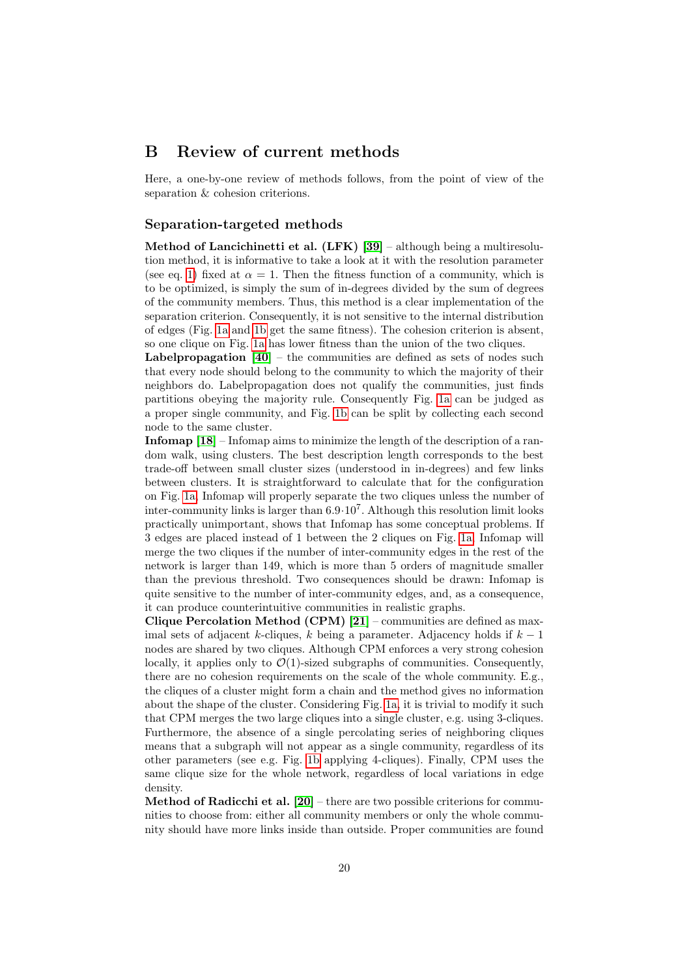# B Review of current methods

Here, a one-by-one review of methods follows, from the point of view of the separation & cohesion criterions.

#### Separation-targeted methods

Method of Lancichinetti et al. (LFK) [\[39\]](#page-26-18) – although being a multiresolution method, it is informative to take a look at it with the resolution parameter (see eq. [1\)](#page-6-1) fixed at  $\alpha = 1$ . Then the fitness function of a community, which is to be optimized, is simply the sum of in-degrees divided by the sum of degrees of the community members. Thus, this method is a clear implementation of the separation criterion. Consequently, it is not sensitive to the internal distribution of edges (Fig. [1a](#page-3-0) and [1b](#page-3-1) get the same fitness). The cohesion criterion is absent, so one clique on Fig. [1a](#page-3-0) has lower fitness than the union of the two cliques.

Labelpropagation  $[40]$  – the communities are defined as sets of nodes such that every node should belong to the community to which the majority of their neighbors do. Labelpropagation does not qualify the communities, just finds partitions obeying the majority rule. Consequently Fig. [1a](#page-3-0) can be judged as a proper single community, and Fig. [1b](#page-3-1) can be split by collecting each second node to the same cluster.

Infomap [\[18\]](#page-26-3) – Infomap aims to minimize the length of the description of a random walk, using clusters. The best description length corresponds to the best trade-off between small cluster sizes (understood in in-degrees) and few links between clusters. It is straightforward to calculate that for the configuration on Fig. [1a,](#page-3-0) Infomap will properly separate the two cliques unless the number of inter-community links is larger than  $6.9 \cdot 10^7$ . Although this resolution limit looks practically unimportant, shows that Infomap has some conceptual problems. If 3 edges are placed instead of 1 between the 2 cliques on Fig. [1a,](#page-3-0) Infomap will merge the two cliques if the number of inter-community edges in the rest of the network is larger than 149, which is more than 5 orders of magnitude smaller than the previous threshold. Two consequences should be drawn: Infomap is quite sensitive to the number of inter-community edges, and, as a consequence, it can produce counterintuitive communities in realistic graphs.

Clique Percolation Method (CPM)  $[21]$  – communities are defined as maximal sets of adjacent k-cliques, k being a parameter. Adjacency holds if  $k-1$ nodes are shared by two cliques. Although CPM enforces a very strong cohesion locally, it applies only to  $\mathcal{O}(1)$ -sized subgraphs of communities. Consequently, there are no cohesion requirements on the scale of the whole community. E.g., the cliques of a cluster might form a chain and the method gives no information about the shape of the cluster. Considering Fig. [1a,](#page-3-0) it is trivial to modify it such that CPM merges the two large cliques into a single cluster, e.g. using 3-cliques. Furthermore, the absence of a single percolating series of neighboring cliques means that a subgraph will not appear as a single community, regardless of its other parameters (see e.g. Fig. [1b](#page-3-1) applying 4-cliques). Finally, CPM uses the same clique size for the whole network, regardless of local variations in edge density.

Method of Radicchi et al. [\[20\]](#page-26-4) – there are two possible criterions for communities to choose from: either all community members or only the whole community should have more links inside than outside. Proper communities are found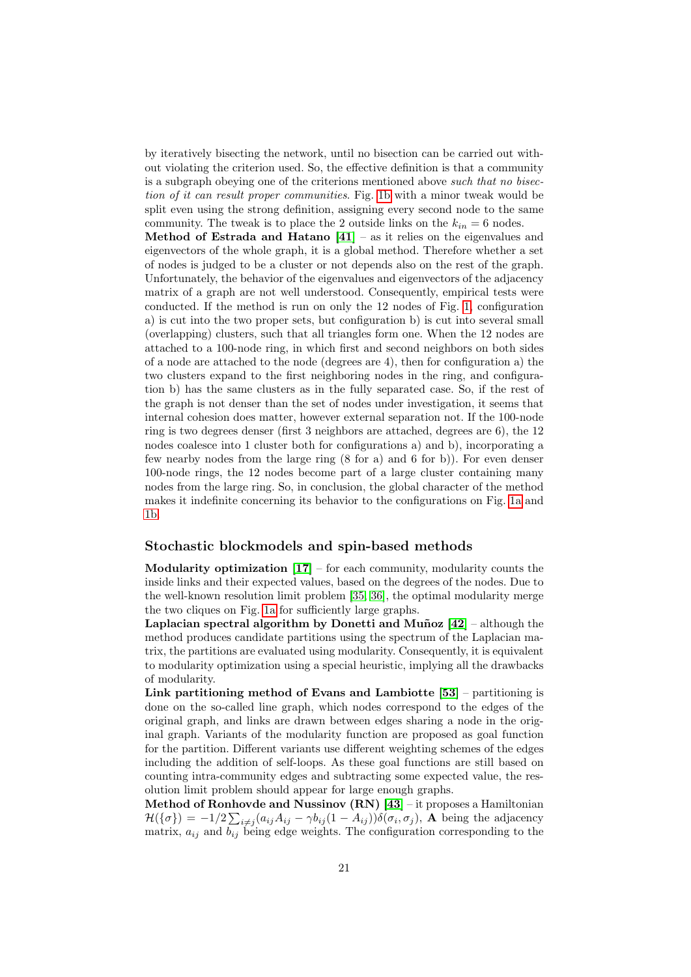by iteratively bisecting the network, until no bisection can be carried out without violating the criterion used. So, the effective definition is that a community is a subgraph obeying one of the criterions mentioned above such that no bisection of it can result proper communities. Fig. [1b](#page-3-1) with a minor tweak would be split even using the strong definition, assigning every second node to the same community. The tweak is to place the 2 outside links on the  $k_{in} = 6$  nodes. **Method of Estrada and Hatano**  $[41]$  – as it relies on the eigenvalues and eigenvectors of the whole graph, it is a global method. Therefore whether a set of nodes is judged to be a cluster or not depends also on the rest of the graph. Unfortunately, the behavior of the eigenvalues and eigenvectors of the adjacency matrix of a graph are not well understood. Consequently, empirical tests were conducted. If the method is run on only the 12 nodes of Fig. [1,](#page-3-2) configuration a) is cut into the two proper sets, but configuration b) is cut into several small (overlapping) clusters, such that all triangles form one. When the 12 nodes are attached to a 100-node ring, in which first and second neighbors on both sides of a node are attached to the node (degrees are 4), then for configuration a) the two clusters expand to the first neighboring nodes in the ring, and configuration b) has the same clusters as in the fully separated case. So, if the rest of the graph is not denser than the set of nodes under investigation, it seems that internal cohesion does matter, however external separation not. If the 100-node ring is two degrees denser (first 3 neighbors are attached, degrees are 6), the 12 nodes coalesce into 1 cluster both for configurations a) and b), incorporating a few nearby nodes from the large ring (8 for a) and 6 for b)). For even denser 100-node rings, the 12 nodes become part of a large cluster containing many nodes from the large ring. So, in conclusion, the global character of the method makes it indefinite concerning its behavior to the configurations on Fig. [1a](#page-3-0) and [1b.](#page-3-1)

#### Stochastic blockmodels and spin-based methods

Modularity optimization  $[17]$  – for each community, modularity counts the inside links and their expected values, based on the degrees of the nodes. Due to the well-known resolution limit problem [\[35,](#page-26-14) [36\]](#page-26-15), the optimal modularity merge the two cliques on Fig. [1a](#page-3-0) for sufficiently large graphs.

Laplacian spectral algorithm by Donetti and Muñoz  $[42]$  – although the method produces candidate partitions using the spectrum of the Laplacian matrix, the partitions are evaluated using modularity. Consequently, it is equivalent to modularity optimization using a special heuristic, implying all the drawbacks of modularity.

Link partitioning method of Evans and Lambiotte  $[53]$  – partitioning is done on the so-called line graph, which nodes correspond to the edges of the original graph, and links are drawn between edges sharing a node in the original graph. Variants of the modularity function are proposed as goal function for the partition. Different variants use different weighting schemes of the edges including the addition of self-loops. As these goal functions are still based on counting intra-community edges and subtracting some expected value, the resolution limit problem should appear for large enough graphs.

Method of Ronhovde and Nussinov  $(RN)$  [\[43\]](#page-27-0) – it proposes a Hamiltonian  $\mathcal{H}(\{\sigma\}) = -1/2 \sum_{i \neq j} (a_{ij} A_{ij} - \gamma b_{ij} (1 - A_{ij})) \delta(\sigma_i, \sigma_j)$ , A being the adjacency matrix,  $a_{ij}$  and  $b_{ij}$  being edge weights. The configuration corresponding to the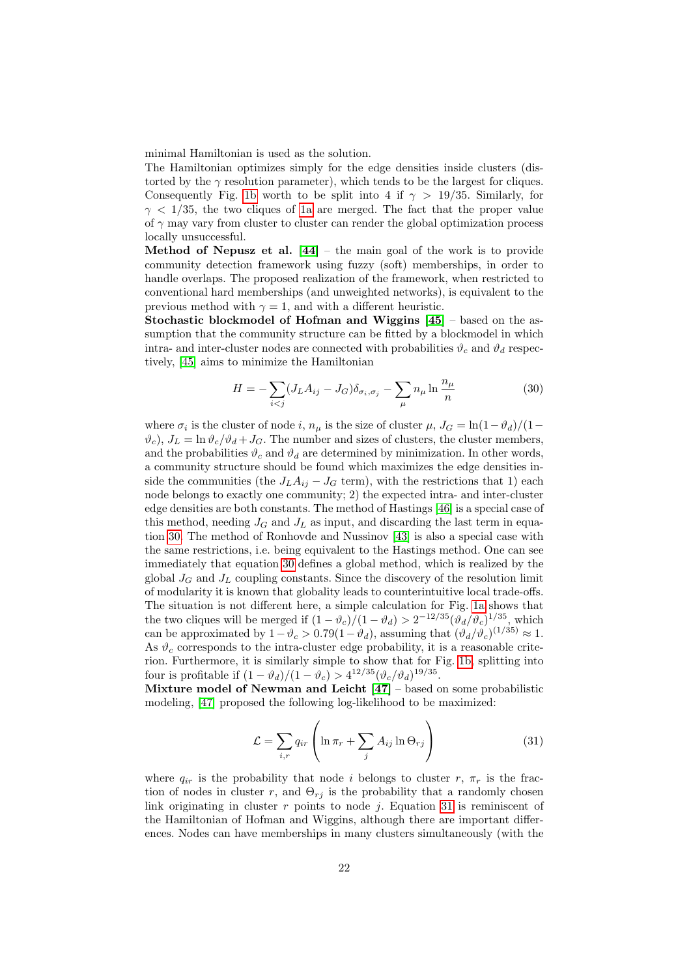minimal Hamiltonian is used as the solution.

The Hamiltonian optimizes simply for the edge densities inside clusters (distorted by the  $\gamma$  resolution parameter), which tends to be the largest for cliques. Consequently Fig. [1b](#page-3-1) worth to be split into 4 if  $\gamma > 19/35$ . Similarly, for  $\gamma$  < 1/35, the two cliques of [1a](#page-3-0) are merged. The fact that the proper value of  $\gamma$  may vary from cluster to cluster can render the global optimization process locally unsuccessful.

Method of Nepusz et al.  $[44]$  – the main goal of the work is to provide community detection framework using fuzzy (soft) memberships, in order to handle overlaps. The proposed realization of the framework, when restricted to conventional hard memberships (and unweighted networks), is equivalent to the previous method with  $\gamma = 1$ , and with a different heuristic.

Stochastic blockmodel of Hofman and Wiggins [\[45\]](#page-27-7) – based on the assumption that the community structure can be fitted by a blockmodel in which intra- and inter-cluster nodes are connected with probabilities  $\vartheta_c$  and  $\vartheta_d$  respectively, [\[45\]](#page-27-7) aims to minimize the Hamiltonian

<span id="page-21-0"></span>
$$
H = -\sum_{i < j} (J_L A_{ij} - J_G) \delta_{\sigma_i, \sigma_j} - \sum_{\mu} n_{\mu} \ln \frac{n_{\mu}}{n} \tag{30}
$$

where  $\sigma_i$  is the cluster of node i,  $n_{\mu}$  is the size of cluster  $\mu$ ,  $J_G = \ln(1-\vartheta_d)/(1-\pi)$  $\vartheta_c$ ,  $J_L = \ln \vartheta_c / \vartheta_d + J_G$ . The number and sizes of clusters, the cluster members, and the probabilities  $\vartheta_c$  and  $\vartheta_d$  are determined by minimization. In other words, a community structure should be found which maximizes the edge densities inside the communities (the  $J_L A_{ij} - J_G$  term), with the restrictions that 1) each node belongs to exactly one community; 2) the expected intra- and inter-cluster edge densities are both constants. The method of Hastings [\[46\]](#page-27-8) is a special case of this method, needing  $J_G$  and  $J_L$  as input, and discarding the last term in equation [30.](#page-21-0) The method of Ronhovde and Nussinov [\[43\]](#page-27-0) is also a special case with the same restrictions, i.e. being equivalent to the Hastings method. One can see immediately that equation [30](#page-21-0) defines a global method, which is realized by the global  $J_G$  and  $J_L$  coupling constants. Since the discovery of the resolution limit of modularity it is known that globality leads to counterintuitive local trade-offs. The situation is not different here, a simple calculation for Fig. [1a](#page-3-0) shows that the two cliques will be merged if  $(1 - \vartheta_c)/(1 - \vartheta_d) > 2^{-12/35} (\vartheta_d/\vartheta_c)^{1/35}$ , which can be approximated by  $1 - \vartheta_c > 0.79(1 - \vartheta_d)$ , assuming that  $(\vartheta_d/\vartheta_c)^{(1/35)} \approx 1$ . As  $\vartheta_c$  corresponds to the intra-cluster edge probability, it is a reasonable criterion. Furthermore, it is similarly simple to show that for Fig. [1b,](#page-3-1) splitting into four is profitable if  $(1 - \vartheta_d)/(1 - \vartheta_c) > 4^{12/35} (\vartheta_c/\vartheta_d)^{19/35}$ .

Mixture model of Newman and Leicht  $[47]$  – based on some probabilistic modeling, [\[47\]](#page-27-9) proposed the following log-likelihood to be maximized:

<span id="page-21-1"></span>
$$
\mathcal{L} = \sum_{i,r} q_{ir} \left( \ln \pi_r + \sum_j A_{ij} \ln \Theta_{rj} \right) \tag{31}
$$

where  $q_{ir}$  is the probability that node *i* belongs to cluster r,  $\pi_r$  is the fraction of nodes in cluster r, and  $\Theta_{rj}$  is the probability that a randomly chosen link originating in cluster  $r$  points to node  $j$ . Equation [31](#page-21-1) is reminiscent of the Hamiltonian of Hofman and Wiggins, although there are important differences. Nodes can have memberships in many clusters simultaneously (with the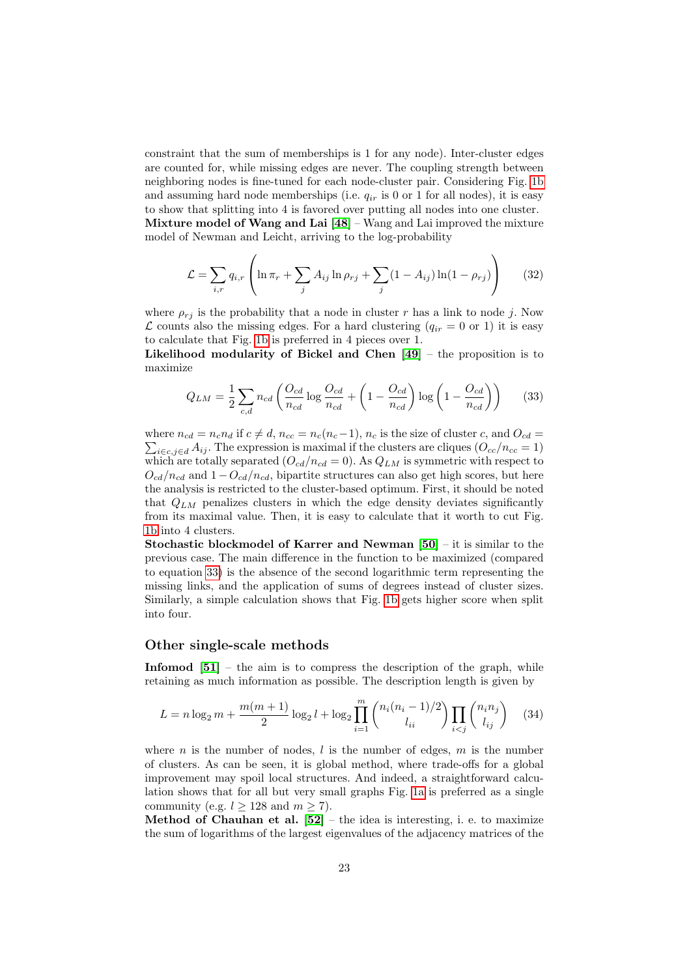constraint that the sum of memberships is 1 for any node). Inter-cluster edges are counted for, while missing edges are never. The coupling strength between neighboring nodes is fine-tuned for each node-cluster pair. Considering Fig. [1b](#page-3-1) and assuming hard node memberships (i.e.  $q_{ir}$  is 0 or 1 for all nodes), it is easy to show that splitting into 4 is favored over putting all nodes into one cluster. Mixture model of Wang and Lai  $[48]$  – Wang and Lai improved the mixture model of Newman and Leicht, arriving to the log-probability

$$
\mathcal{L} = \sum_{i,r} q_{i,r} \left( \ln \pi_r + \sum_j A_{ij} \ln \rho_{rj} + \sum_j (1 - A_{ij}) \ln (1 - \rho_{rj}) \right)
$$
(32)

where  $\rho_{r,i}$  is the probability that a node in cluster r has a link to node j. Now  $\mathcal L$  counts also the missing edges. For a hard clustering  $(q_{ir} = 0 \text{ or } 1)$  it is easy to calculate that Fig. [1b](#page-3-1) is preferred in 4 pieces over 1.

Likelihood modularity of Bickel and Chen  $[49]$  – the proposition is to maximize

<span id="page-22-0"></span>
$$
Q_{LM} = \frac{1}{2} \sum_{c,d} n_{cd} \left( \frac{O_{cd}}{n_{cd}} \log \frac{O_{cd}}{n_{cd}} + \left( 1 - \frac{O_{cd}}{n_{cd}} \right) \log \left( 1 - \frac{O_{cd}}{n_{cd}} \right) \right)
$$
(33)

where  $n_{cd} = n_c n_d$  if  $c \neq d$ ,  $n_{cc} = n_c(n_c-1)$ ,  $n_c$  is the size of cluster c, and  $O_{cd} =$  $\sum_{i \in c, j \in d} A_{ij}$ . The expression is maximal if the clusters are cliques  $(O_{cc}/n_{cc} = 1)$ which are totally separated  $(O_{cd}/n_{cd} = 0)$ . As  $Q_{LM}$  is symmetric with respect to  $O_{cd}/n_{cd}$  and  $1 - O_{cd}/n_{cd}$ , bipartite structures can also get high scores, but here the analysis is restricted to the cluster-based optimum. First, it should be noted that  $Q_{LM}$  penalizes clusters in which the edge density deviates significantly from its maximal value. Then, it is easy to calculate that it worth to cut Fig. [1b](#page-3-1) into 4 clusters.

**Stochastic blockmodel of Karrer and Newman [\[50\]](#page-27-12)** – it is similar to the previous case. The main difference in the function to be maximized (compared to equation [33\)](#page-22-0) is the absence of the second logarithmic term representing the missing links, and the application of sums of degrees instead of cluster sizes. Similarly, a simple calculation shows that Fig. [1b](#page-3-1) gets higher score when split into four.

#### Other single-scale methods

**Infomod**  $[51]$  – the aim is to compress the description of the graph, while retaining as much information as possible. The description length is given by

$$
L = n \log_2 m + \frac{m(m+1)}{2} \log_2 l + \log_2 \prod_{i=1}^m {n_i (n_i - 1)/2 \choose l_{ii}} \prod_{i < j} {n_i n_j \choose l_{ij}} \tag{34}
$$

where n is the number of nodes,  $l$  is the number of edges,  $m$  is the number of clusters. As can be seen, it is global method, where trade-offs for a global improvement may spoil local structures. And indeed, a straightforward calculation shows that for all but very small graphs Fig. [1a](#page-3-0) is preferred as a single community (e.g.  $l \ge 128$  and  $m \ge 7$ ).

Method of Chauhan et al.  $[52]$  – the idea is interesting, i. e. to maximize the sum of logarithms of the largest eigenvalues of the adjacency matrices of the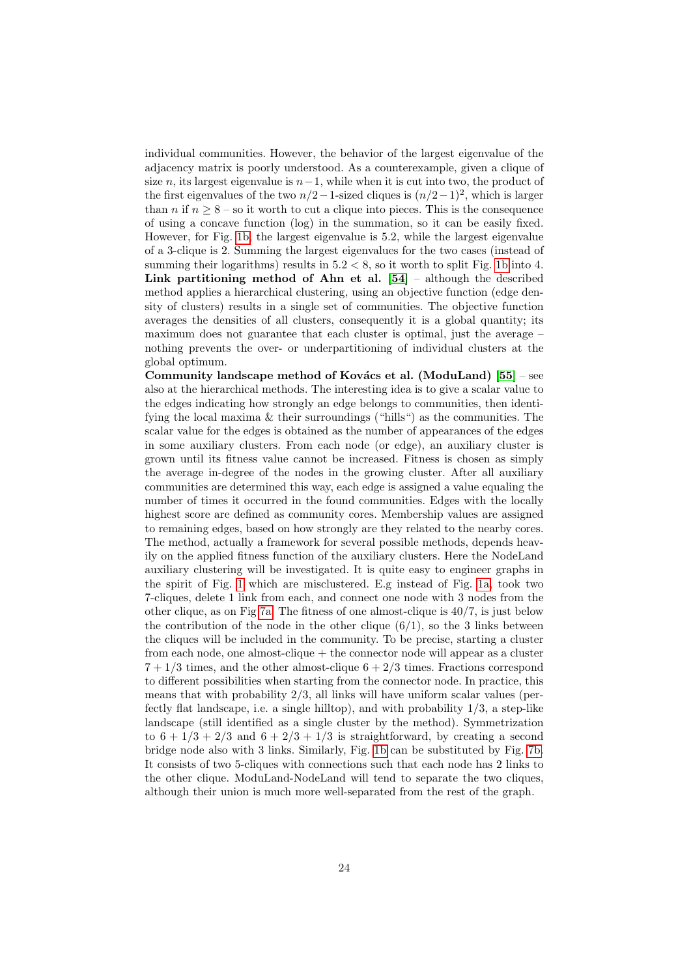individual communities. However, the behavior of the largest eigenvalue of the adjacency matrix is poorly understood. As a counterexample, given a clique of size *n*, its largest eigenvalue is  $n-1$ , while when it is cut into two, the product of the first eigenvalues of the two  $n/2-1$ -sized cliques is  $(n/2-1)^2$ , which is larger than *n* if  $n \geq 8$  – so it worth to cut a clique into pieces. This is the consequence of using a concave function (log) in the summation, so it can be easily fixed. However, for Fig. [1b,](#page-3-1) the largest eigenvalue is 5.2, while the largest eigenvalue of a 3-clique is 2. Summing the largest eigenvalues for the two cases (instead of summing their logarithms) results in  $5.2 < 8$ , so it worth to split Fig. [1b](#page-3-1) into 4. Link partitioning method of Ahn et al.  $[54]$  – although the described method applies a hierarchical clustering, using an objective function (edge density of clusters) results in a single set of communities. The objective function averages the densities of all clusters, consequently it is a global quantity; its maximum does not guarantee that each cluster is optimal, just the average – nothing prevents the over- or underpartitioning of individual clusters at the global optimum.

Community landscape method of Kovács et al. (ModuLand)  $[55]$  – see also at the hierarchical methods. The interesting idea is to give a scalar value to the edges indicating how strongly an edge belongs to communities, then identifying the local maxima & their surroundings ("hills") as the communities. The scalar value for the edges is obtained as the number of appearances of the edges in some auxiliary clusters. From each node (or edge), an auxiliary cluster is grown until its fitness value cannot be increased. Fitness is chosen as simply the average in-degree of the nodes in the growing cluster. After all auxiliary communities are determined this way, each edge is assigned a value equaling the number of times it occurred in the found communities. Edges with the locally highest score are defined as community cores. Membership values are assigned to remaining edges, based on how strongly are they related to the nearby cores. The method, actually a framework for several possible methods, depends heavily on the applied fitness function of the auxiliary clusters. Here the NodeLand auxiliary clustering will be investigated. It is quite easy to engineer graphs in the spirit of Fig. [1](#page-3-2) which are misclustered. E.g instead of Fig. [1a,](#page-3-0) took two 7-cliques, delete 1 link from each, and connect one node with 3 nodes from the other clique, as on Fig [7a.](#page-24-0) The fitness of one almost-clique is 40/7, is just below the contribution of the node in the other clique  $(6/1)$ , so the 3 links between the cliques will be included in the community. To be precise, starting a cluster from each node, one almost-clique + the connector node will appear as a cluster  $7 + 1/3$  times, and the other almost-clique  $6 + 2/3$  times. Fractions correspond to different possibilities when starting from the connector node. In practice, this means that with probability 2/3, all links will have uniform scalar values (perfectly flat landscape, i.e. a single hilltop), and with probability  $1/3$ , a step-like landscape (still identified as a single cluster by the method). Symmetrization to  $6 + 1/3 + 2/3$  and  $6 + 2/3 + 1/3$  is straightforward, by creating a second bridge node also with 3 links. Similarly, Fig. [1b](#page-3-1) can be substituted by Fig. [7b.](#page-24-1) It consists of two 5-cliques with connections such that each node has 2 links to the other clique. ModuLand-NodeLand will tend to separate the two cliques, although their union is much more well-separated from the rest of the graph.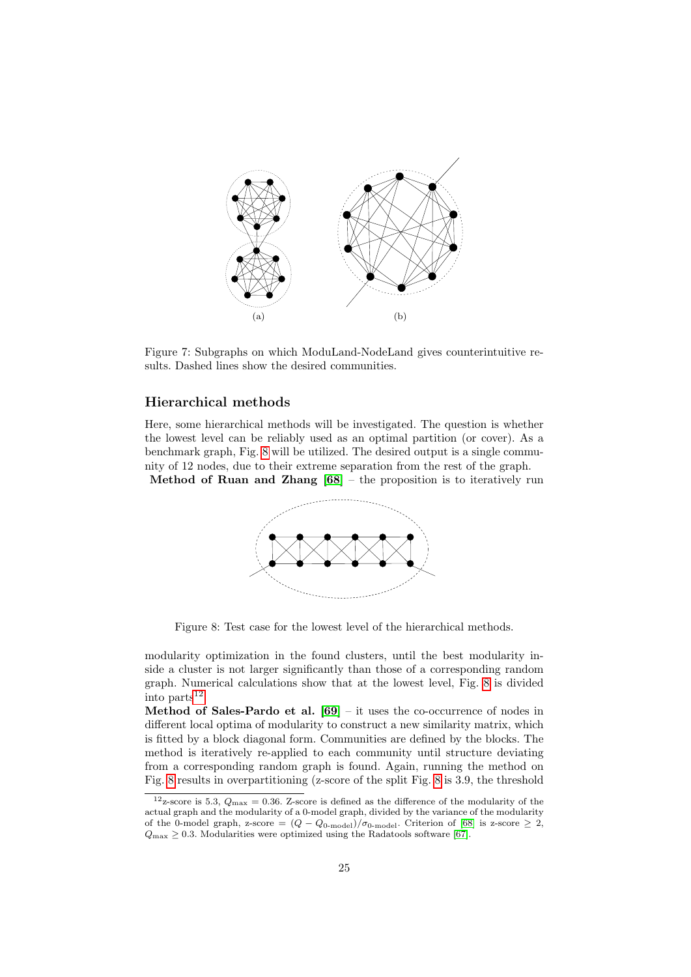<span id="page-24-1"></span><span id="page-24-0"></span>

Figure 7: Subgraphs on which ModuLand-NodeLand gives counterintuitive results. Dashed lines show the desired communities.

#### Hierarchical methods

<span id="page-24-2"></span>Here, some hierarchical methods will be investigated. The question is whether the lowest level can be reliably used as an optimal partition (or cover). As a benchmark graph, Fig. [8](#page-24-2) will be utilized. The desired output is a single community of 12 nodes, due to their extreme separation from the rest of the graph. Method of Ruan and Zhang  $[68]$  – the proposition is to iteratively run



Figure 8: Test case for the lowest level of the hierarchical methods.

modularity optimization in the found clusters, until the best modularity inside a cluster is not larger significantly than those of a corresponding random graph. Numerical calculations show that at the lowest level, Fig. [8](#page-24-2) is divided into  $parts<sup>12</sup>$  $parts<sup>12</sup>$  $parts<sup>12</sup>$ .

Method of Sales-Pardo et al.  $[69]$  – it uses the co-occurrence of nodes in different local optima of modularity to construct a new similarity matrix, which is fitted by a block diagonal form. Communities are defined by the blocks. The method is iteratively re-applied to each community until structure deviating from a corresponding random graph is found. Again, running the method on Fig. [8](#page-24-2) results in overpartitioning (z-score of the split Fig. [8](#page-24-2) is 3.9, the threshold

<span id="page-24-3"></span><sup>&</sup>lt;sup>12</sup>z-score is 5.3,  $Q_{\text{max}} = 0.36$ . Z-score is defined as the difference of the modularity of the actual graph and the modularity of a 0-model graph, divided by the variance of the modularity of the 0-model graph, z-score =  $(Q - Q_{0\text{-model}})/\sigma_{0\text{-model}}$ . Criterion of [\[68\]](#page-28-2) is z-score  $\geq 2$ ,  $Q_{\text{max}} \geq 0.3$ . Modularities were optimized using the Radatools software [\[67\]](#page-28-1).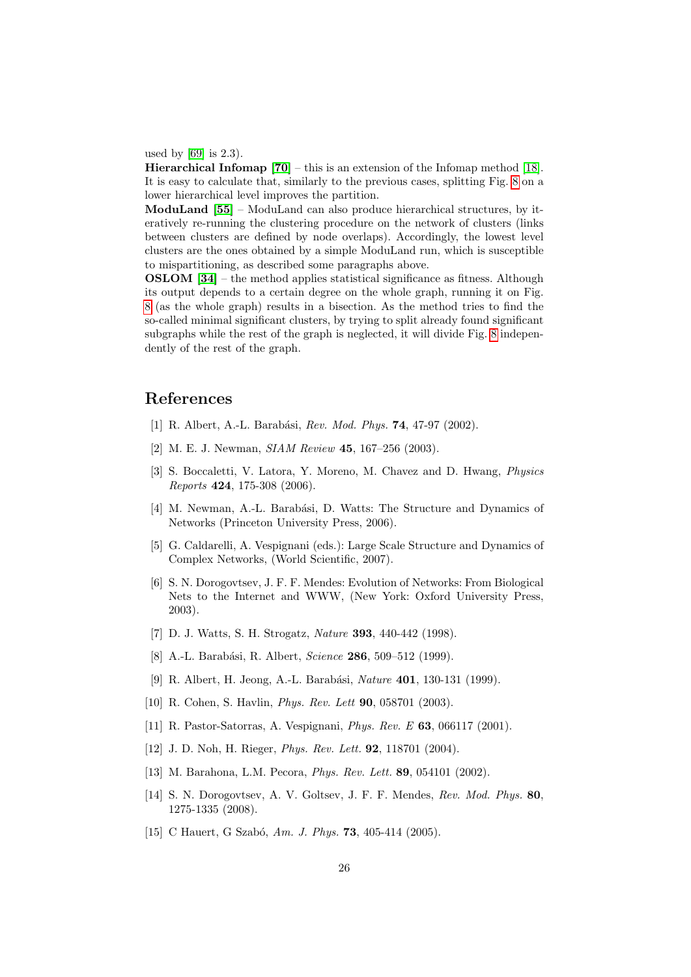used by [\[69\]](#page-28-3) is 2.3).

**Hierarchical Infomap**  $[70]$  – this is an extension of the Infomap method [\[18\]](#page-26-3). It is easy to calculate that, similarly to the previous cases, splitting Fig. [8](#page-24-2) on a lower hierarchical level improves the partition.

ModuLand [\[55\]](#page-27-17) – ModuLand can also produce hierarchical structures, by iteratively re-running the clustering procedure on the network of clusters (links between clusters are defined by node overlaps). Accordingly, the lowest level clusters are the ones obtained by a simple ModuLand run, which is susceptible to mispartitioning, as described some paragraphs above.

OSLOM [\[34\]](#page-26-13) – the method applies statistical significance as fitness. Although its output depends to a certain degree on the whole graph, running it on Fig. [8](#page-24-2) (as the whole graph) results in a bisection. As the method tries to find the so-called minimal significant clusters, by trying to split already found significant subgraphs while the rest of the graph is neglected, it will divide Fig. [8](#page-24-2) independently of the rest of the graph.

# References

- <span id="page-25-0"></span>[1] R. Albert, A.-L. Barabási, *Rev. Mod. Phys.* **74**, 47-97 (2002).
- [2] M. E. J. Newman, *SIAM Review* **45**, 167-256 (2003).
- [3] S. Boccaletti, V. Latora, Y. Moreno, M. Chavez and D. Hwang, Physics Reports 424, 175-308 (2006).
- [4] M. Newman, A.-L. Barabási, D. Watts: The Structure and Dynamics of Networks (Princeton University Press, 2006).
- [5] G. Caldarelli, A. Vespignani (eds.): Large Scale Structure and Dynamics of Complex Networks, (World Scientific, 2007).
- <span id="page-25-1"></span>[6] S. N. Dorogovtsev, J. F. F. Mendes: Evolution of Networks: From Biological Nets to the Internet and WWW, (New York: Oxford University Press, 2003).
- <span id="page-25-2"></span>[7] D. J. Watts, S. H. Strogatz, Nature 393, 440-442 (1998).
- <span id="page-25-3"></span>[8] A.-L. Barabási, R. Albert, Science 286, 509–512 (1999).
- <span id="page-25-4"></span>[9] R. Albert, H. Jeong, A.-L. Barabási, *Nature* **401**, 130-131 (1999).
- <span id="page-25-5"></span>[10] R. Cohen, S. Havlin, Phys. Rev. Lett 90, 058701 (2003).
- <span id="page-25-6"></span>[11] R. Pastor-Satorras, A. Vespignani, Phys. Rev. E 63, 066117 (2001).
- <span id="page-25-7"></span>[12] J. D. Noh, H. Rieger, *Phys. Rev. Lett.* **92**, 118701 (2004).
- <span id="page-25-8"></span>[13] M. Barahona, L.M. Pecora, *Phys. Rev. Lett.* **89**, 054101 (2002).
- <span id="page-25-9"></span>[14] S. N. Dorogovtsev, A. V. Goltsev, J. F. F. Mendes, Rev. Mod. Phys. 80, 1275-1335 (2008).
- <span id="page-25-10"></span>[15] C Hauert, G Szabó, Am. J. Phys. **73**, 405-414 (2005).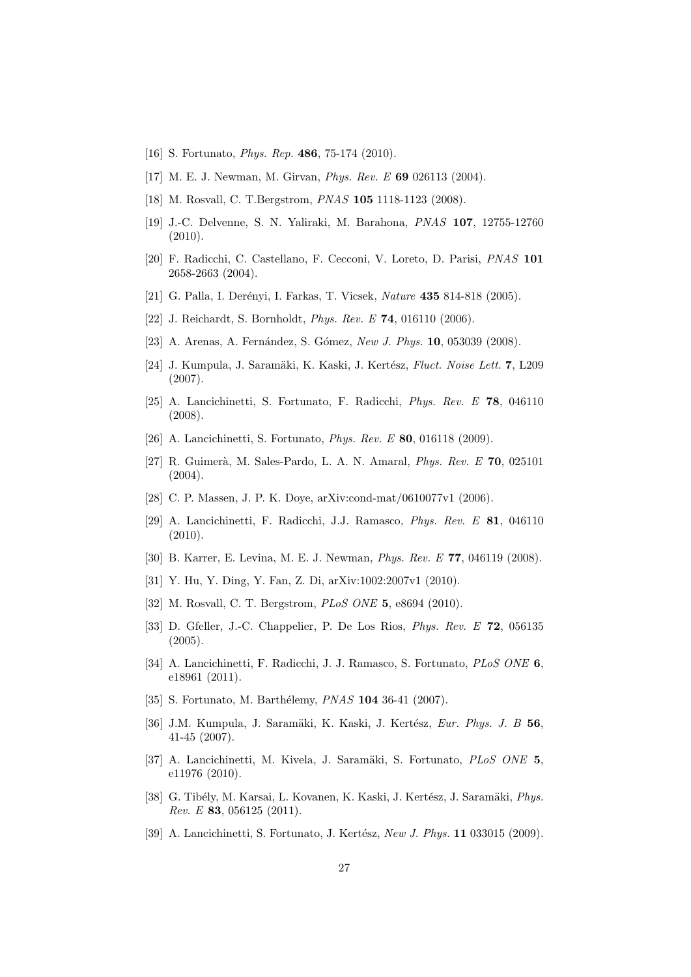- <span id="page-26-0"></span>[16] S. Fortunato, *Phys. Rep.* **486**, 75-174 (2010).
- <span id="page-26-1"></span>[17] M. E. J. Newman, M. Girvan, Phys. Rev. E 69 026113 (2004).
- <span id="page-26-3"></span>[18] M. Rosvall, C. T.Bergstrom, *PNAS* **105** 1118-1123 (2008).
- <span id="page-26-2"></span>[19] J.-C. Delvenne, S. N. Yaliraki, M. Barahona, PNAS 107, 12755-12760 (2010).
- <span id="page-26-4"></span>[20] F. Radicchi, C. Castellano, F. Cecconi, V. Loreto, D. Parisi, PNAS 101 2658-2663 (2004).
- <span id="page-26-5"></span>[21] G. Palla, I. Derényi, I. Farkas, T. Vicsek, *Nature* **435** 814-818 (2005).
- <span id="page-26-6"></span>[22] J. Reichardt, S. Bornholdt, *Phys. Rev. E* **74**, 016110 (2006).
- <span id="page-26-7"></span>[23] A. Arenas, A. Fernández, S. Gómez, New J. Phys. 10, 053039 (2008).
- <span id="page-26-8"></span>[24] J. Kumpula, J. Saramäki, K. Kaski, J. Kertész, Fluct. Noise Lett. 7, L209 (2007).
- <span id="page-26-9"></span>[25] A. Lancichinetti, S. Fortunato, F. Radicchi, Phys. Rev. E 78, 046110 (2008).
- <span id="page-26-10"></span>[26] A. Lancichinetti, S. Fortunato, *Phys. Rev. E* **80**, 016118 (2009).
- <span id="page-26-11"></span>[27] R. Guimerà, M. Sales-Pardo, L. A. N. Amaral, *Phys. Rev. E* 70, 025101 (2004).
- [28] C. P. Massen, J. P. K. Doye, arXiv:cond-mat/0610077v1 (2006).
- <span id="page-26-19"></span>[29] A. Lancichinetti, F. Radicchi, J.J. Ramasco, Phys. Rev. E 81, 046110 (2010).
- [30] B. Karrer, E. Levina, M. E. J. Newman, Phys. Rev. E 77, 046119 (2008).
- [31] Y. Hu, Y. Ding, Y. Fan, Z. Di, arXiv:1002:2007v1 (2010).
- [32] M. Rosvall, C. T. Bergstrom, PLoS ONE 5, e8694 (2010).
- <span id="page-26-12"></span>[33] D. Gfeller, J.-C. Chappelier, P. De Los Rios, Phys. Rev. E 72, 056135 (2005).
- <span id="page-26-13"></span>[34] A. Lancichinetti, F. Radicchi, J. J. Ramasco, S. Fortunato, PLoS ONE 6, e18961 (2011).
- <span id="page-26-14"></span>[35] S. Fortunato, M. Barthélemy, *PNAS* 104 36-41 (2007).
- <span id="page-26-15"></span>[36] J.M. Kumpula, J. Saramäki, K. Kaski, J. Kertész, Eur. Phys. J. B 56, 41-45 (2007).
- <span id="page-26-16"></span>[37] A. Lancichinetti, M. Kivela, J. Saramäki, S. Fortunato, PLoS ONE 5, e11976 (2010).
- <span id="page-26-17"></span>[38] G. Tibély, M. Karsai, L. Kovanen, K. Kaski, J. Kertész, J. Saramäki, Phys. Rev. E 83, 056125 (2011).
- <span id="page-26-18"></span>[39] A. Lancichinetti, S. Fortunato, J. Kertész, New J. Phys. 11 033015 (2009).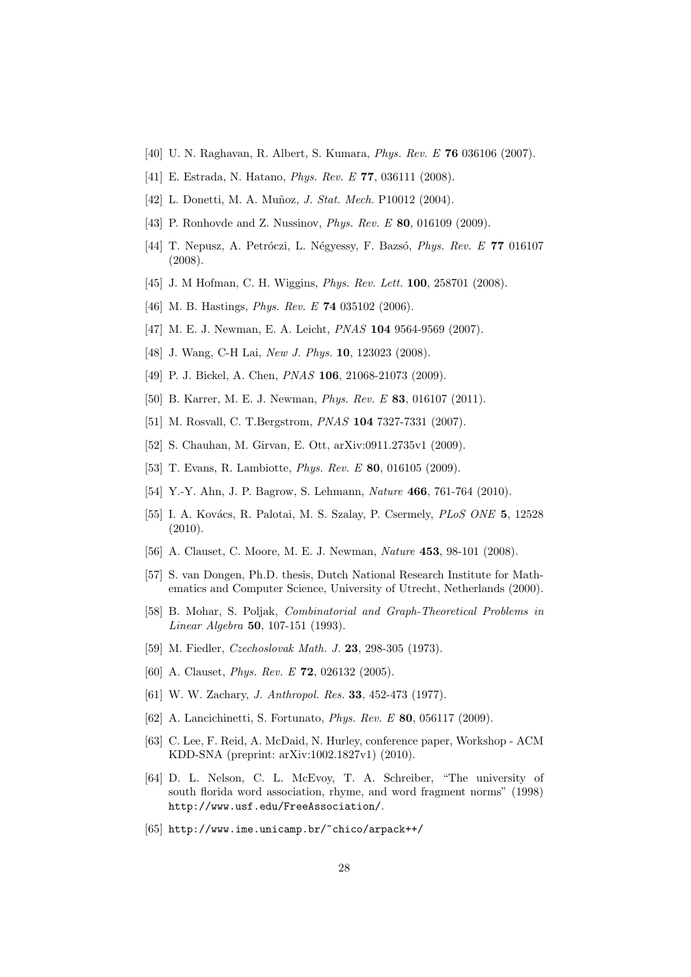- <span id="page-27-3"></span>[40] U. N. Raghavan, R. Albert, S. Kumara, Phys. Rev. E 76 036106 (2007).
- <span id="page-27-4"></span>[41] E. Estrada, N. Hatano, Phys. Rev. E 77, 036111 (2008).
- <span id="page-27-5"></span>[42] L. Donetti, M. A. Muñoz, *J. Stat. Mech.* P10012 (2004).
- <span id="page-27-0"></span>[43] P. Ronhovde and Z. Nussinov, *Phys. Rev. E* 80, 016109 (2009).
- <span id="page-27-6"></span>[44] T. Nepusz, A. Petróczi, L. Négyessy, F. Bazsó, Phys. Rev. E 77 016107 (2008).
- <span id="page-27-7"></span>[45] J. M Hofman, C. H. Wiggins, *Phys. Rev. Lett.* **100**, 258701 (2008).
- <span id="page-27-8"></span>[46] M. B. Hastings, *Phys. Rev. E* **74** 035102 (2006).
- <span id="page-27-9"></span>[47] M. E. J. Newman, E. A. Leicht, PNAS 104 9564-9569 (2007).
- <span id="page-27-10"></span>[48] J. Wang, C-H Lai, New J. Phys. **10**, 123023 (2008).
- <span id="page-27-11"></span>[49] P. J. Bickel, A. Chen, *PNAS* **106**, 21068-21073 (2009).
- <span id="page-27-12"></span>[50] B. Karrer, M. E. J. Newman, Phys. Rev. E 83, 016107 (2011).
- <span id="page-27-13"></span>[51] M. Rosvall, C. T.Bergstrom, PNAS 104 7327-7331 (2007).
- <span id="page-27-14"></span>[52] S. Chauhan, M. Girvan, E. Ott, arXiv:0911.2735v1 (2009).
- <span id="page-27-15"></span>[53] T. Evans, R. Lambiotte, *Phys. Rev. E* **80**, 016105 (2009).
- <span id="page-27-16"></span>[54] Y.-Y. Ahn, J. P. Bagrow, S. Lehmann, *Nature* **466**, 761-764 (2010).
- <span id="page-27-17"></span>[55] I. A. Kovács, R. Palotai, M. S. Szalay, P. Csermely, *PLoS ONE* 5, 12528 (2010).
- <span id="page-27-1"></span>[56] A. Clauset, C. Moore, M. E. J. Newman, Nature 453, 98-101 (2008).
- <span id="page-27-2"></span>[57] S. van Dongen, Ph.D. thesis, Dutch National Research Institute for Mathematics and Computer Science, University of Utrecht, Netherlands (2000).
- <span id="page-27-18"></span>[58] B. Mohar, S. Poljak, Combinatorial and Graph-Theoretical Problems in Linear Algebra 50, 107-151 (1993).
- <span id="page-27-19"></span>[59] M. Fiedler, Czechoslovak Math. J. 23, 298-305 (1973).
- <span id="page-27-20"></span>[60] A. Clauset, *Phys. Rev. E* **72**, 026132 (2005).
- <span id="page-27-21"></span>[61] W. W. Zachary, *J. Anthropol. Res.* **33**, 452-473 (1977).
- <span id="page-27-22"></span>[62] A. Lancichinetti, S. Fortunato, *Phys. Rev. E* **80**, 056117 (2009).
- <span id="page-27-23"></span>[63] C. Lee, F. Reid, A. McDaid, N. Hurley, conference paper, Workshop - ACM KDD-SNA (preprint: arXiv:1002.1827v1) (2010).
- <span id="page-27-24"></span>[64] D. L. Nelson, C. L. McEvoy, T. A. Schreiber, "The university of south florida word association, rhyme, and word fragment norms" (1998) http://www.usf.edu/FreeAssociation/.
- <span id="page-27-25"></span>[65] http://www.ime.unicamp.br/~chico/arpack++/